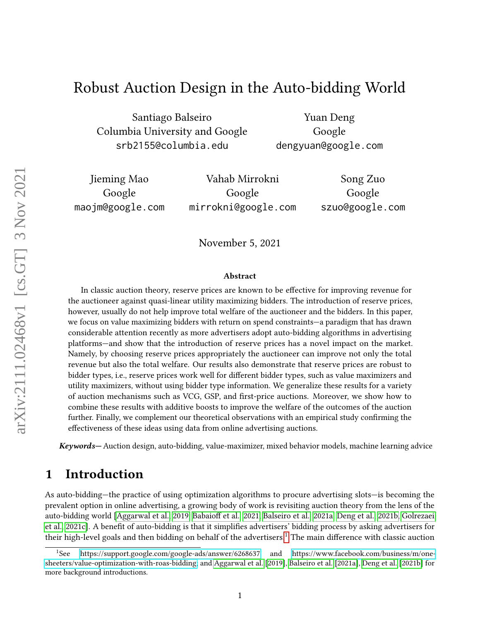# Robust Auction Design in the Auto-bidding World

Santiago Balseiro Columbia University and Google srb2155@columbia.edu

Yuan Deng Google dengyuan@google.com

Jieming Mao Google maojm@google.com

Vahab Mirrokni Google mirrokni@google.com

Song Zuo Google szuo@google.com

November 5, 2021

#### Abstract

In classic auction theory, reserve prices are known to be effective for improving revenue for the auctioneer against quasi-linear utility maximizing bidders. The introduction of reserve prices, however, usually do not help improve total welfare of the auctioneer and the bidders. In this paper, we focus on value maximizing bidders with return on spend constraints—a paradigm that has drawn considerable attention recently as more advertisers adopt auto-bidding algorithms in advertising platforms—and show that the introduction of reserve prices has a novel impact on the market. Namely, by choosing reserve prices appropriately the auctioneer can improve not only the total revenue but also the total welfare. Our results also demonstrate that reserve prices are robust to bidder types, i.e., reserve prices work well for different bidder types, such as value maximizers and utility maximizers, without using bidder type information. We generalize these results for a variety of auction mechanisms such as VCG, GSP, and first-price auctions. Moreover, we show how to combine these results with additive boosts to improve the welfare of the outcomes of the auction further. Finally, we complement our theoretical observations with an empirical study confirming the effectiveness of these ideas using data from online advertising auctions.

Keywords— Auction design, auto-bidding, value-maximizer, mixed behavior models, machine learning advice

## 1 Introduction

As auto-bidding—the practice of using optimization algorithms to procure advertising slots—is becoming the prevalent option in online advertising, a growing body of work is revisiting auction theory from the lens of the auto-bidding world [\[Aggarwal et al., 2019,](#page-10-0) Babaioff et al., 2021, [Balseiro et al., 2021a,](#page-10-2) [Deng et al., 2021b,](#page-11-0) [Golrezaei](#page-12-0) [et al., 2021c\]](#page-12-0). A benefit of auto-bidding is that it simplifies advertisers' bidding process by asking advertisers for their high-level goals and then bidding on behalf of the advertisers.<sup>[1](#page-0-0)</sup> The main difference with classic auction

<span id="page-0-0"></span><sup>1</sup>See<https://support.google.com/google-ads/answer/6268637> and [https://www.facebook.com/business/m/one](https://www.facebook.com/business/m/one-sheeters/value-optimization-with-roas-bidding)[sheeters/value-optimization-with-roas-bidding;](https://www.facebook.com/business/m/one-sheeters/value-optimization-with-roas-bidding) and [Aggarwal et al.](#page-10-0) [\[2019\]](#page-10-0), [Balseiro et al.](#page-10-2) [\[2021a\]](#page-10-2), [Deng et al.](#page-11-0) [\[2021b\]](#page-11-0) for more background introductions.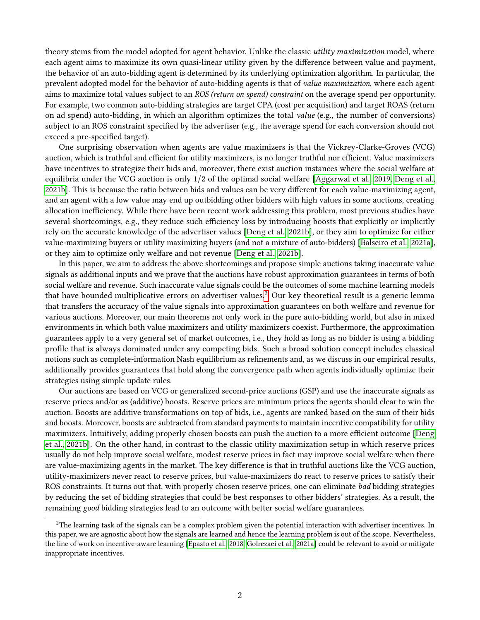theory stems from the model adopted for agent behavior. Unlike the classic utility maximization model, where each agent aims to maximize its own quasi-linear utility given by the difference between value and payment, the behavior of an auto-bidding agent is determined by its underlying optimization algorithm. In particular, the prevalent adopted model for the behavior of auto-bidding agents is that of value maximization, where each agent aims to maximize total values subject to an ROS (return on spend) constraint on the average spend per opportunity. For example, two common auto-bidding strategies are target CPA (cost per acquisition) and target ROAS (return on ad spend) auto-bidding, in which an algorithm optimizes the total *value* (e.g., the number of conversions) subject to an ROS constraint specified by the advertiser (e.g., the average spend for each conversion should not exceed a pre-specified target).

One surprising observation when agents are value maximizers is that the Vickrey-Clarke-Groves (VCG) auction, which is truthful and efficient for utility maximizers, is no longer truthful nor efficient. Value maximizers have incentives to strategize their bids and, moreover, there exist auction instances where the social welfare at equilibria under the VCG auction is only 1/2 of the optimal social welfare [\[Aggarwal et al., 2019,](#page-10-0) [Deng et al.,](#page-11-0) [2021b\]](#page-11-0). This is because the ratio between bids and values can be very different for each value-maximizing agent, and an agent with a low value may end up outbidding other bidders with high values in some auctions, creating allocation inefficiency. While there have been recent work addressing this problem, most previous studies have several shortcomings, e.g., they reduce such efficiency loss by introducing boosts that explicitly or implicitly rely on the accurate knowledge of the advertiser values [\[Deng et al., 2021b\]](#page-11-0), or they aim to optimize for either value-maximizing buyers or utility maximizing buyers (and not a mixture of auto-bidders) [\[Balseiro et al., 2021a\]](#page-10-2), or they aim to optimize only welfare and not revenue [\[Deng et al., 2021b\]](#page-11-0).

In this paper, we aim to address the above shortcomings and propose simple auctions taking inaccurate value signals as additional inputs and we prove that the auctions have robust approximation guarantees in terms of both social welfare and revenue. Such inaccurate value signals could be the outcomes of some machine learning models that have bounded multiplicative errors on advertiser values.<sup>[2](#page-1-0)</sup> Our key theoretical result is a generic lemma that transfers the accuracy of the value signals into approximation guarantees on both welfare and revenue for various auctions. Moreover, our main theorems not only work in the pure auto-bidding world, but also in mixed environments in which both value maximizers and utility maximizers coexist. Furthermore, the approximation guarantees apply to a very general set of market outcomes, i.e., they hold as long as no bidder is using a bidding profile that is always dominated under any competing bids. Such a broad solution concept includes classical notions such as complete-information Nash equilibrium as refinements and, as we discuss in our empirical results, additionally provides guarantees that hold along the convergence path when agents individually optimize their strategies using simple update rules.

Our auctions are based on VCG or generalized second-price auctions (GSP) and use the inaccurate signals as reserve prices and/or as (additive) boosts. Reserve prices are minimum prices the agents should clear to win the auction. Boosts are additive transformations on top of bids, i.e., agents are ranked based on the sum of their bids and boosts. Moreover, boosts are subtracted from standard payments to maintain incentive compatibility for utility maximizers. Intuitively, adding properly chosen boosts can push the auction to a more efficient outcome [\[Deng](#page-11-0)] [et al., 2021b\]](#page-11-0). On the other hand, in contrast to the classic utility maximization setup in which reserve prices usually do not help improve social welfare, modest reserve prices in fact may improve social welfare when there are value-maximizing agents in the market. The key difference is that in truthful auctions like the VCG auction, utility-maximizers never react to reserve prices, but value-maximizers do react to reserve prices to satisfy their ROS constraints. It turns out that, with properly chosen reserve prices, one can eliminate bad bidding strategies by reducing the set of bidding strategies that could be best responses to other bidders' strategies. As a result, the remaining *good* bidding strategies lead to an outcome with better social welfare guarantees.

<span id="page-1-0"></span> $2$ The learning task of the signals can be a complex problem given the potential interaction with advertiser incentives. In this paper, we are agnostic about how the signals are learned and hence the learning problem is out of the scope. Nevertheless, the line of work on incentive-aware learning [\[Epasto et al., 2018,](#page-11-1) [Golrezaei et al., 2021a\]](#page-12-1) could be relevant to avoid or mitigate inappropriate incentives.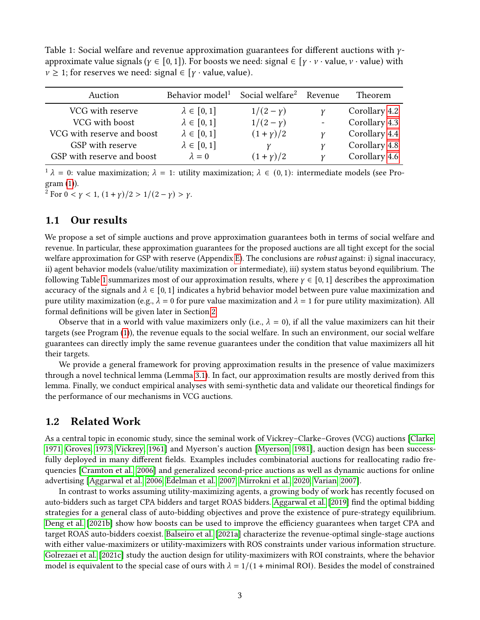<span id="page-2-0"></span>Table 1: Social welfare and revenue approximation guarantees for different auctions with  $\gamma$ approximate value signals ( $\gamma \in [0, 1]$ ). For boosts we need: signal  $\in [\gamma \cdot \nu \cdot \text{value}, \nu \cdot \text{value}]$  with  $v \geq 1$ ; for reserves we need: signal  $\in [y \cdot value]$ , value).

| Auction                    | Behavior model <sup>1</sup> | Social welfare <sup>2</sup> Revenue |   | <b>Theorem</b> |
|----------------------------|-----------------------------|-------------------------------------|---|----------------|
| VCG with reserve           | $\lambda \in [0,1]$         | $1/(2 - y)$                         |   | Corollary 4.2  |
| VCG with boost             | $\lambda \in [0,1]$         | $1/(2 - y)$                         |   | Corollary 4.3  |
| VCG with reserve and boost | $\lambda \in [0,1]$         | $(1 + y)/2$                         | ν | Corollary 4.4  |
| GSP with reserve           | $\lambda \in [0,1]$         |                                     | ν | Corollary 4.8  |
| GSP with reserve and boost | $\lambda = 0$               | $(1 + y)/2$                         | v | Corollary 4.6  |

 $1 \lambda = 0$ : value maximization;  $\lambda = 1$ : utility maximization;  $\lambda \in (0, 1)$ : intermediate models (see Pro- $gram(1)$  $gram(1)$ ).

<sup>2</sup> For  $0 < y < 1$ ,  $(1 + y)/2 > 1/(2 - y) > y$ .

### 1.1 Our results

We propose a set of simple auctions and prove approximation guarantees both in terms of social welfare and revenue. In particular, these approximation guarantees for the proposed auctions are all tight except for the social welfare approximation for GSP with reserve (Appendix [E\)](#page-19-0). The conclusions are *robust* against: i) signal inaccuracy, ii) agent behavior models (value/utility maximization or intermediate), iii) system status beyond equilibrium. The following Table [1](#page-2-0) summarizes most of our approximation results, where  $\gamma \in [0, 1]$  describes the approximation accuracy of the signals and  $\lambda \in [0, 1]$  indicates a hybrid behavior model between pure value maximization and pure utility maximization (e.g.,  $\lambda = 0$  for pure value maximization and  $\lambda = 1$  for pure utility maximization). All formal definitions will be given later in Section [2.](#page-3-0)

Observe that in a world with value maximizers only (i.e.,  $\lambda = 0$ ), if all the value maximizers can hit their targets (see Program [\(1\)](#page-4-0)), the revenue equals to the social welfare. In such an environment, our social welfare guarantees can directly imply the same revenue guarantees under the condition that value maximizers all hit their targets.

We provide a general framework for proving approximation results in the presence of value maximizers through a novel technical lemma (Lemma [3.1\)](#page-5-0). In fact, our approximation results are mostly derived from this lemma. Finally, we conduct empirical analyses with semi-synthetic data and validate our theoretical findings for the performance of our mechanisms in VCG auctions.

#### 1.2 Related Work

As a central topic in economic study, since the seminal work of Vickrey–Clarke–Groves (VCG) auctions [\[Clarke,](#page-11-2) [1971,](#page-11-2) [Groves, 1973,](#page-12-2) [Vickrey, 1961\]](#page-12-3) and Myerson's auction [\[Myerson, 1981\]](#page-12-4), auction design has been successfully deployed in many different fields. Examples includes combinatorial auctions for reallocating radio frequencies [\[Cramton et al., 2006\]](#page-11-3) and generalized second-price auctions as well as dynamic auctions for online advertising [\[Aggarwal et al., 2006,](#page-10-3) [Edelman et al., 2007,](#page-11-4) [Mirrokni et al., 2020,](#page-12-5) [Varian, 2007\]](#page-12-6).

In contrast to works assuming utility-maximizing agents, a growing body of work has recently focused on auto-bidders such as target CPA bidders and target ROAS bidders. [Aggarwal et al.](#page-10-0) [\[2019\]](#page-10-0) find the optimal bidding strategies for a general class of auto-bidding objectives and prove the existence of pure-strategy equilibrium. [Deng et al.](#page-11-0) [\[2021b\]](#page-11-0) show how boosts can be used to improve the efficiency guarantees when target CPA and target ROAS auto-bidders coexist. [Balseiro et al.](#page-10-2) [\[2021a\]](#page-10-2) characterize the revenue-optimal single-stage auctions with either value-maximizers or utility-maximizers with ROS constraints under various information structure. [Golrezaei et al.](#page-12-0) [\[2021c\]](#page-12-0) study the auction design for utility-maximizers with ROI constraints, where the behavior model is equivalent to the special case of ours with  $\lambda = 1/(1 + \text{minimal ROI})$ . Besides the model of constrained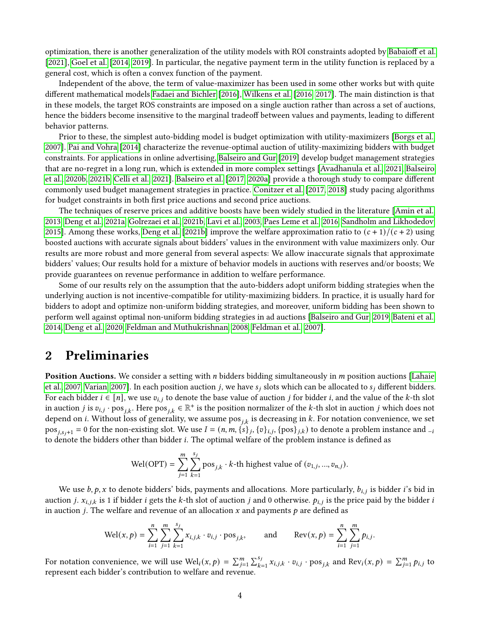optimization, there is another generalization of the utility models with ROI constraints adopted by Babaioff et al. [\[2021\]](#page-10-1), [Goel et al.](#page-11-5) [\[2014,](#page-11-5) [2019\]](#page-12-7). In particular, the negative payment term in the utility function is replaced by a general cost, which is often a convex function of the payment.

Independent of the above, the term of value-maximizer has been used in some other works but with quite different mathematical models [Fadaei and Bichler](#page-11-6) [\[2016\]](#page-11-6), [Wilkens et al.](#page-12-8) [\[2016,](#page-12-8) [2017\]](#page-12-9). The main distinction is that in these models, the target ROS constraints are imposed on a single auction rather than across a set of auctions, hence the bidders become insensitive to the marginal tradeoff between values and payments, leading to different behavior patterns.

Prior to these, the simplest auto-bidding model is budget optimization with utility-maximizers [\[Borgs et al.,](#page-11-7) [2007\]](#page-11-7). [Pai and Vohra](#page-12-10) [\[2014\]](#page-12-10) characterize the revenue-optimal auction of utility-maximizing bidders with budget constraints. For applications in online advertising, [Balseiro and Gur](#page-11-8) [\[2019\]](#page-11-8) develop budget management strategies that are no-regret in a long run, which is extended in more complex settings [\[Avadhanula et al., 2021,](#page-10-4) [Balseiro](#page-10-5) [et al., 2020b,](#page-10-5) [2021b,](#page-11-9) [Celli et al., 2021\]](#page-11-10). [Balseiro et al.](#page-10-6) [\[2017,](#page-10-6) [2020a\]](#page-10-7) provide a thorough study to compare different commonly used budget management strategies in practice. [Conitzer et al.](#page-11-11) [\[2017,](#page-11-11) [2018\]](#page-11-12) study pacing algorithms for budget constraints in both first price auctions and second price auctions.

The techniques of reserve prices and additive boosts have been widely studied in the literature [\[Amin et al.,](#page-10-8) [2013,](#page-10-8) [Deng et al., 2021a,](#page-11-13) [Golrezaei et al., 2021b,](#page-12-11) [Lavi et al., 2003,](#page-12-12) [Paes Leme et al., 2016,](#page-12-13) [Sandholm and Likhodedov,](#page-12-14) [2015\]](#page-12-14). Among these works, [Deng et al.](#page-11-0) [\[2021b\]](#page-11-0) improve the welfare approximation ratio to  $(c + 1)/(c + 2)$  using boosted auctions with accurate signals about bidders' values in the environment with value maximizers only. Our results are more robust and more general from several aspects: We allow inaccurate signals that approximate bidders' values; Our results hold for a mixture of behavior models in auctions with reserves and/or boosts; We provide guarantees on revenue performance in addition to welfare performance.

Some of our results rely on the assumption that the auto-bidders adopt uniform bidding strategies when the underlying auction is not incentive-compatible for utility-maximizing bidders. In practice, it is usually hard for bidders to adopt and optimize non-uniform bidding strategies, and moreover, uniform bidding has been shown to perform well against optimal non-uniform bidding strategies in ad auctions [\[Balseiro and Gur, 2019,](#page-11-8) [Bateni et al.,](#page-11-14) [2014,](#page-11-14) [Deng et al., 2020,](#page-11-15) [Feldman and Muthukrishnan, 2008,](#page-11-16) [Feldman et al., 2007\]](#page-11-17).

# <span id="page-3-0"></span>2 Preliminaries

**Position Auctions.** We consider a setting with  $n$  bidders bidding simultaneously in  $m$  position auctions [\[Lahaie](#page-12-15) [et al., 2007,](#page-12-15) [Varian, 2007\]](#page-12-6). In each position auction *j*, we have  $s_i$  slots which can be allocated to  $s_i$  different bidders. For each bidder  $i \in [n]$ , we use  $v_{i,j}$  to denote the base value of auction *j* for bidder *i*, and the value of the *k*-th slot in auction j is  $v_{i,j}$  · pos<sub>ik</sub>. Here pos<sub>ik</sub>  $\in \mathbb{R}^+$  is the position normalizer of the k-th slot in auction j which does not depend on *i*. Without loss of generality, we assume pos<sub>*ik*</sub> is decreasing in *k*. For notation convenience, we set  ${\rm pos}_{j,s_j+1}=0$  for the non-existing slot. We use  $I=(n,m,\{s\}_j,\{v\}_{i,j},\{{\rm pos}\}_{j,k})$  to denote a problem instance and  $_{-i}$ to denote the bidders other than bidder  $i$ . The optimal welfare of the problem instance is defined as

Wel(OPT) = 
$$
\sum_{j=1}^{m} \sum_{k=1}^{s_j}
$$
 pos<sub>j,k</sub> · *k*-th highest value of  $(v_{1,j}, ..., v_{n,j})$ .

We use  $b, p, x$  to denote bidders' bids, payments and allocations. More particularly,  $b_{i,j}$  is bidder *i*'s bid in auction *j.*  $x_{i,j,k}$  is 1 if bidder *i* gets the *k*-th slot of auction *j* and 0 otherwise.  $p_{i,j}$  is the price paid by the bidder *i* in auction *j*. The welfare and revenue of an allocation x and payments  $p$  are defined as

$$
\text{Wel}(x, p) = \sum_{i=1}^{n} \sum_{j=1}^{m} \sum_{k=1}^{s_j} x_{i,j,k} \cdot v_{i,j} \cdot \text{pos}_{j,k}, \quad \text{and} \quad \text{Rev}(x, p) = \sum_{i=1}^{n} \sum_{j=1}^{m} p_{i,j}.
$$

For notation convenience, we will use  $\text{Wel}_i(x, p) = \sum_{j=1}^m \sum_{k=1}^{s_j} x_{i,j,k} \cdot v_{i,j} \cdot \text{pos}_{j,k}$  and  $\text{Rev}_i(x, p) = \sum_{j=1}^m p_{i,j}$  to represent each bidder's contribution to welfare and revenue.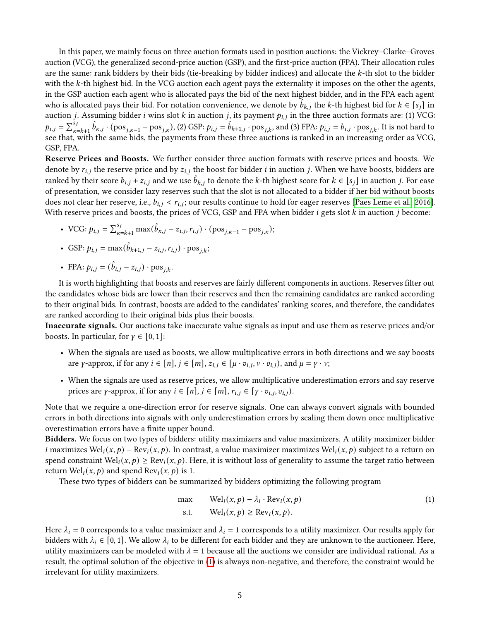In this paper, we mainly focus on three auction formats used in position auctions: the Vickrey–Clarke–Groves auction (VCG), the generalized second-price auction (GSP), and the first-price auction (FPA). Their allocation rules are the same: rank bidders by their bids (tie-breaking by bidder indices) and allocate the  $k$ -th slot to the bidder with the k-th highest bid. In the VCG auction each agent pays the externality it imposes on the other the agents, in the GSP auction each agent who is allocated pays the bid of the next highest bidder, and in the FPA each agent who is allocated pays their bid. For notation convenience, we denote by  $b_{k,i}$  the k-th highest bid for  $k \in [s_i]$  in auction *j*. Assuming bidder *i* wins slot *k* in auction *j*, its payment  $p_{i,j}$  in the three auction formats are: (1) VCG:  $p_{i,j} = \sum_{\kappa=k+1}^{s_j} \hat{b}_{\kappa,j} \cdot (pos_{j,\kappa-1} - pos_{j,\kappa})$ , (2) GSP:  $p_{i,j} = \hat{b}_{k+1,j} \cdot pos_{j,k}$ , and (3) FPA:  $p_{i,j} = b_{i,j} \cdot pos_{j,k}$ . It is not hard to see that, with the same bids, the payments from these three auctions is ranked in an increasing order as VCG, GSP, FPA.

Reserve Prices and Boosts. We further consider three auction formats with reserve prices and boosts. We denote by  $r_{i,j}$  the reserve price and by  $z_{i,j}$  the boost for bidder *i* in auction *j*. When we have boosts, bidders are ranked by their score  $b_{i,j} + z_{i,j}$  and we use  $\hat{b}_{k,j}$  to denote the k-th highest score for  $k \in [s_j]$  in auction j. For ease of presentation, we consider lazy reserves such that the slot is not allocated to a bidder if her bid without boosts does not clear her reserve, i.e.,  $b_{i,j} < r_{i,j}$ ; our results continue to hold for eager reserves [\[Paes Leme et al., 2016\]](#page-12-13). With reserve prices and boosts, the prices of VCG, GSP and FPA when bidder  $i$  gets slot  $k$  in auction  $j$  become:

- VCG:  $p_{i,j} = \sum_{\kappa=k+1}^{s_j} \max(\hat{b}_{\kappa,j} z_{i,j}, r_{i,j}) \cdot (\text{pos}_{j,\kappa-1} \text{pos}_{j,\kappa});$
- GSP:  $p_{i,j} = \max(\hat{b}_{k+1,j} z_{i,j}, r_{i,j}) \cdot \cos_{j,k};$
- FPA:  $p_{i,j} = (\hat{b}_{i,j} z_{i,j}) \cdot \text{pos}_{i,k}$ .

It is worth highlighting that boosts and reserves are fairly different components in auctions. Reserves filter out the candidates whose bids are lower than their reserves and then the remaining candidates are ranked according to their original bids. In contrast, boosts are added to the candidates' ranking scores, and therefore, the candidates are ranked according to their original bids plus their boosts.

Inaccurate signals. Our auctions take inaccurate value signals as input and use them as reserve prices and/or boosts. In particular, for  $\gamma \in [0, 1]$ :

- When the signals are used as boosts, we allow multiplicative errors in both directions and we say boosts are  $\gamma$ -approx, if for any  $i \in [n], j \in [m], z_{i,j} \in [\mu \cdot v_{i,j}, \nu \cdot v_{i,j})$ , and  $\mu = \gamma \cdot \nu$ ;
- When the signals are used as reserve prices, we allow multiplicative underestimation errors and say reserve prices are  $\gamma$ -approx, if for any  $i \in [n]$ ,  $j \in [m]$ ,  $r_{i,j} \in [\gamma \cdot v_{i,j}, v_{i,j})$ .

Note that we require a one-direction error for reserve signals. One can always convert signals with bounded errors in both directions into signals with only underestimation errors by scaling them down once multiplicative overestimation errors have a finite upper bound.

Bidders. We focus on two types of bidders: utility maximizers and value maximizers. A utility maximizer bidder *i* maximizes Wel<sub>i</sub> $(x, p)$  – Rev<sub>i</sub> $(x, p)$ . In contrast, a value maximizer maximizes Wel<sub>i</sub> $(x, p)$  subject to a return on spend constraint  $Wel_i(x, p) \geq Rev_i(x, p)$ . Here, it is without loss of generality to assume the target ratio between return  $Wel_i(x, p)$  and spend  $Rev_i(x, p)$  is 1.

These two types of bidders can be summarized by bidders optimizing the following program

<span id="page-4-0"></span>
$$
\max \qquad \text{Wel}_i(x, p) - \lambda_i \cdot \text{Rev}_i(x, p) \tag{1}
$$
\n
$$
\text{s.t.} \qquad \text{Wel}_i(x, p) \ge \text{Rev}_i(x, p). \tag{2}
$$

Here  $\lambda_i = 0$  corresponds to a value maximizer and  $\lambda_i = 1$  corresponds to a utility maximizer. Our results apply for bidders with  $\lambda_i \in [0, 1]$ . We allow  $\lambda_i$  to be different for each bidder and they are unknown to the auctioneer. Here, utility maximizers can be modeled with  $\lambda = 1$  because all the auctions we consider are individual rational. As a result, the optimal solution of the objective in [\(1\)](#page-4-0) is always non-negative, and therefore, the constraint would be irrelevant for utility maximizers.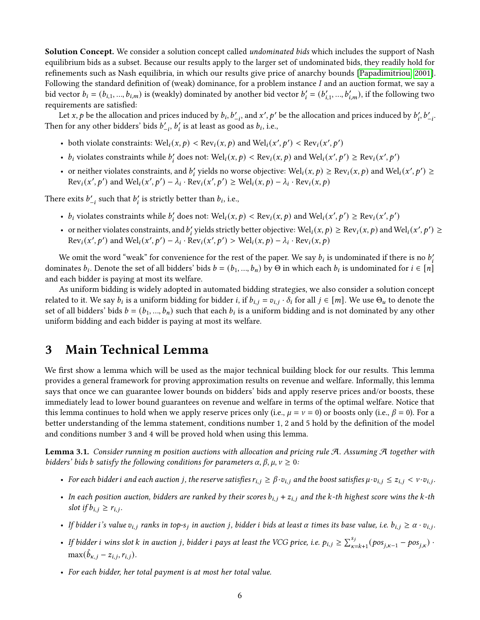Solution Concept. We consider a solution concept called *undominated bids* which includes the support of Nash equilibrium bids as a subset. Because our results apply to the larger set of undominated bids, they readily hold for refinements such as Nash equilibria, in which our results give price of anarchy bounds [\[Papadimitriou, 2001\]](#page-12-16). Following the standard definition of (weak) dominance, for a problem instance  $I$  and an auction format, we say a bid vector  $b_i = (b_{i,1},...,b_{i,m})$  is (weakly) dominated by another bid vector  $b'_i = (b'_{i,1},...,b'_{i,m})$ , if the following two requirements are satisfied:

Let x, p be the allocation and prices induced by  $b_i$ ,  $b'_{-i}$ , and x', p' be the allocation and prices induced by  $b'_i$ ,  $b'_{-i}$ . Then for any other bidders' bids  $b'_{-i}$ ,  $b'_i$  is at least as good as  $b_i$ , i.e.,

- both violate constraints:  $Wel_i(x, p) < Rev_i(x, p)$  and  $Wel_i(x', p') < Rev_i(x', p')$
- $b_i$  violates constraints while  $b'_i$  does not:  $\text{Wel}_i(x, p) < \text{Rev}_i(x, p)$  and  $\text{Wel}_i(x', p') \ge \text{Rev}_i(x', p')$
- or neither violates constraints, and  $b'_i$  yields no worse objective: Wel<sub>i</sub> $(x, p) \geq \text{Rev}_i(x, p)$  and Wel<sub>i</sub> $(x', p') \geq$  $\text{Rev}_i(x', p')$  and  $\text{Wel}_i(x', p') - \lambda_i \cdot \text{Rev}_i(x', p') \geq \text{Wel}_i(x, p) - \lambda_i \cdot \text{Rev}_i(x, p)$

There exits  $b'_{-i}$  such that  $b'_i$  is strictly better than  $b_i$ , i.e.,

- $b_i$  violates constraints while  $b'_i$  does not:  $\text{Wel}_i(x, p) < \text{Rev}_i(x, p)$  and  $\text{Wel}_i(x', p') \ge \text{Rev}_i(x', p')$
- or neither violates constraints, and  $b'_i$  yields strictly better objective: Wel<sub>i</sub> $(x, p) \geq \text{Rev}_i(x, p)$  and Wel<sub>i</sub> $(x', p') \geq$  $\text{Rev}_i(x', p')$  and  $\text{Wel}_i(x', p') - \lambda_i \cdot \text{Rev}_i(x', p') > \text{Wel}_i(x, p) - \lambda_i \cdot \text{Rev}_i(x, p)$

We omit the word "weak" for convenience for the rest of the paper. We say  $b_i$  is undominated if there is no  $b'_i$ dominates  $b_i$ . Denote the set of all bidders' bids  $b=(b_1,...,b_n)$  by  $\Theta$  in which each  $b_i$  is undominated for  $i\in [n]$ and each bidder is paying at most its welfare.

As uniform bidding is widely adopted in automated bidding strategies, we also consider a solution concept related to it. We say  $b_i$  is a uniform bidding for bidder *i*, if  $b_{i,j} = v_{i,j} \cdot \delta_i$  for all  $j \in [m]$ . We use  $\Theta_u$  to denote the set of all bidders' bids  $b = (b_1, ..., b_n)$  such that each  $b_i$  is a uniform bidding and is not dominated by any other uniform bidding and each bidder is paying at most its welfare.

### <span id="page-5-1"></span>3 Main Technical Lemma

We first show a lemma which will be used as the major technical building block for our results. This lemma provides a general framework for proving approximation results on revenue and welfare. Informally, this lemma says that once we can guarantee lower bounds on bidders' bids and apply reserve prices and/or boosts, these immediately lead to lower bound guarantees on revenue and welfare in terms of the optimal welfare. Notice that this lemma continues to hold when we apply reserve prices only (i.e.,  $\mu = \nu = 0$ ) or boosts only (i.e.,  $\beta = 0$ ). For a better understanding of the lemma statement, conditions number 1, 2 and 5 hold by the definition of the model and conditions number 3 and 4 will be proved hold when using this lemma.

<span id="page-5-0"></span>**Lemma 3.1.** Consider running m position auctions with allocation and pricing rule A. Assuming A together with bidders' bids b satisfy the following conditions for parameters  $\alpha$ ,  $\beta$ ,  $\mu$ ,  $\nu \geq 0$ :

- For each bidder i and each auction j, the reserve satisfies  $r_{i,j} \ge \beta \cdot v_{i,j}$  and the boost satisfies  $\mu \cdot v_{i,j} \le z_{i,j} < \nu \cdot v_{i,j}$ .
- In each position auction, bidders are ranked by their scores  $b_{i,j} + z_{i,j}$  and the k-th highest score wins the k-th slot if  $b_{i,j} \geq r_{i,j}$ .
- If bidder i's value  $v_{i,j}$  ranks in top-s<sub>j</sub> in auction j, bidder i bids at least  $\alpha$  times its base value, i.e.  $b_{i,j} \ge \alpha \cdot v_{i,j}$ .
- If bidder i wins slot k in auction j, bidder i pays at least the VCG price, i.e.  $p_{i,j} \ge \sum_{\kappa=k+1}^{s_j} (pos_{j,\kappa-1} pos_{j,\kappa})$ .  $\max(\hat{b}_{\kappa,j} - z_{i,j}, r_{i,j}).$
- For each bidder, her total payment is at most her total value.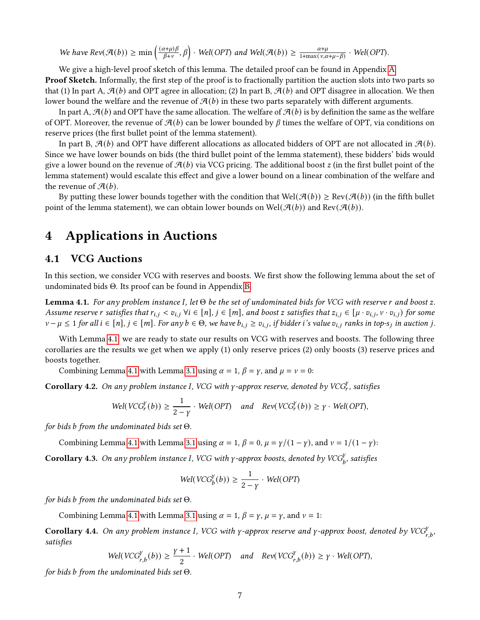We have  $Rev(\mathcal{A}(b)) \ge \min \left( \frac{(\alpha+\mu)\beta}{\beta+\nu} \right)$  $\left(\frac{x+\mu}{\beta+\nu},\beta\right)$  · Wel(OPT) and Wel( $\mathcal{A}(b)$ )  $\geq \frac{\alpha+\mu}{1+\max{(\nu,\alpha+\mu-\beta)}}$  · Wel(OPT).

We give a high-level proof sketch of this lemma. The detailed proof can be found in Appendix [A.](#page-13-0) **Proof Sketch.** Informally, the first step of the proof is to fractionally partition the auction slots into two parts so that (1) In part A,  $\mathcal{A}(b)$  and OPT agree in allocation; (2) In part B,  $\mathcal{A}(b)$  and OPT disagree in allocation. We then lower bound the welfare and the revenue of  $\mathcal{A}(b)$  in these two parts separately with different arguments.

In part A,  $\mathcal{A}(b)$  and OPT have the same allocation. The welfare of  $\mathcal{A}(b)$  is by definition the same as the welfare of OPT. Moreover, the revenue of  $\mathcal{A}(b)$  can be lower bounded by  $\beta$  times the welfare of OPT, via conditions on reserve prices (the first bullet point of the lemma statement).

In part B,  $\mathcal{A}(b)$  and OPT have different allocations as allocated bidders of OPT are not allocated in  $\mathcal{A}(b)$ . Since we have lower bounds on bids (the third bullet point of the lemma statement), these bidders' bids would give a lower bound on the revenue of  $\mathcal{A}(b)$  via VCG pricing. The additional boost z (in the first bullet point of the lemma statement) would escalate this effect and give a lower bound on a linear combination of the welfare and the revenue of  $\mathcal{A}(b)$ .

By putting these lower bounds together with the condition that  $Well(\mathcal{A}(b)) \geq Rev(\mathcal{A}(b))$  (in the fifth bullet point of the lemma statement), we can obtain lower bounds on Wel( $\mathcal{A}(b)$ ) and Rev( $\mathcal{A}(b)$ ).

### 4 Applications in Auctions

#### <span id="page-6-4"></span>4.1 VCG Auctions

In this section, we consider VCG with reserves and boosts. We first show the following lemma about the set of undominated bids Θ. Its proof can be found in Appendix [B.](#page-15-0)

<span id="page-6-3"></span>**Lemma 4.1.** For any problem instance I, let  $\Theta$  be the set of undominated bids for VCG with reserve r and boost z. Assume reserve r satisfies that  $r_{i,j} < v_{i,j}$   $\forall i \in [n], j \in [m]$ , and boost z satisfies that  $z_{i,j} \in [\mu \cdot v_{i,j}, \nu \cdot v_{i,j})$  for some  $v - \mu \le 1$  for all  $i \in [n]$ ,  $j \in [m]$ . For any  $b \in \Theta$ , we have  $b_{i,j} \ge v_{i,j}$ , if bidder i's value  $v_{i,j}$  ranks in top-s<sub>j</sub> in auction j.

With Lemma [4.1,](#page-6-3) we are ready to state our results on VCG with reserves and boosts. The following three corollaries are the results we get when we apply (1) only reserve prices (2) only boosts (3) reserve prices and boosts together.

Combining Lemma [4.1](#page-6-3) with Lemma [3.1](#page-5-0) using  $\alpha = 1$ ,  $\beta = \gamma$ , and  $\mu = \nu = 0$ :

<span id="page-6-0"></span>**Corollary 4.2.** On any problem instance I, VCG with  $\gamma$ -approx reserve, denoted by VCG<sup>y</sup>, satisfies

$$
Wel(VCG_r^Y(b)) \ge \frac{1}{2-\gamma} \cdot Wel(OPT) \quad and \quad Rev(VCG_r^Y(b)) \ge \gamma \cdot Wel(OPT),
$$

for bids b from the undominated bids set  $\Theta$ .

Combining Lemma [4.1](#page-6-3) with Lemma [3.1](#page-5-0) using  $\alpha = 1$ ,  $\beta = 0$ ,  $\mu = \gamma/(1 - \gamma)$ , and  $\nu = 1/(1 - \gamma)$ :

<span id="page-6-1"></span>**Corollary 4.3.** On any problem instance I, VCG with  $\gamma$ -approx boosts, denoted by VCG $^{\gamma}_{b}$ , satisfies

$$
Wel(VCG_b^Y(b)) \ge \frac{1}{2-\gamma} \cdot Well(OPT)
$$

for bids b from the undominated bids set  $\Theta$ .

Combining Lemma [4.1](#page-6-3) with Lemma [3.1](#page-5-0) using  $\alpha = 1$ ,  $\beta = \gamma$ ,  $\mu = \gamma$ , and  $\nu = 1$ :

<span id="page-6-2"></span>**Corollary 4.4.** On any problem instance I, VCG with  $\gamma$ -approx reserve and  $\gamma$ -approx boost, denoted by VCG $_{r,b}^{\gamma}$ , satisfies

$$
Wel(VCG_{r,b}^Y(b)) \ge \frac{\gamma+1}{2} \cdot Well(OPT) \quad and \quad Rev(VCG_{r,b}^Y(b)) \ge \gamma \cdot Well(OPT),
$$

for bids b from the undominated bids set  $\Theta$ .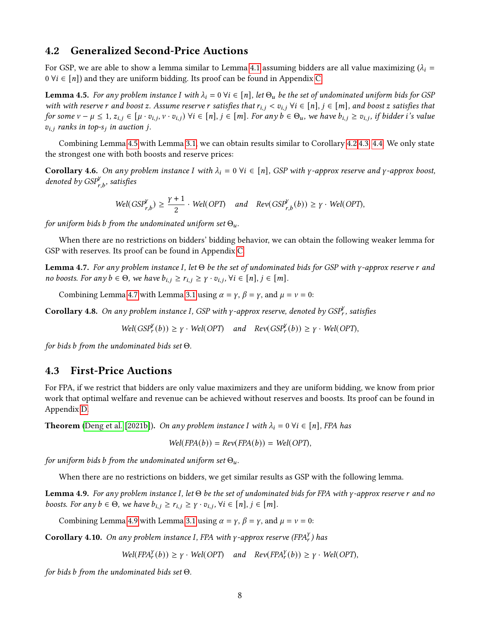#### <span id="page-7-5"></span>4.2 Generalized Second-Price Auctions

For GSP, we are able to show a lemma similar to Lemma [4.1](#page-6-3) assuming bidders are all value maximizing  $(\lambda_i =$  $0 \forall i \in [n]$  and they are uniform bidding. Its proof can be found in Appendix [C.](#page-17-0)

<span id="page-7-2"></span>**Lemma 4.5.** For any problem instance I with  $\lambda_i = 0$   $\forall i \in [n]$ , let  $\Theta_u$  be the set of undominated uniform bids for GSP with with reserve r and boost z. Assume reserve r satisfies that  $r_{i,j} < v_{i,j}$   $\forall i \in [n], j \in [m]$ , and boost z satisfies that for some  $v - \mu \leq 1$ ,  $z_{i,j} \in [\mu \cdot v_{i,j}, v \cdot v_{i,j})$   $\forall i \in [n]$ ,  $j \in [m]$ . For any  $b \in \Theta_u$ , we have  $b_{i,j} \geq v_{i,j}$ , if bidder i's value  $v_{i,j}$  ranks in top-s<sub>i</sub> in auction j.

Combining Lemma [4.5](#page-7-2) with Lemma [3.1,](#page-5-0) we can obtain results similar to Corollary [4.2](#page-6-0)[,4.3,](#page-6-1) [4.4.](#page-6-2) We only state the strongest one with both boosts and reserve prices:

<span id="page-7-1"></span>**Corollary 4.6.** On any problem instance I with  $\lambda_i = 0$   $\forall i \in [n]$ , GSP with y-approx reserve and y-approx boost, denoted by  $GSP_{r,b}^{\gamma}$ , satisfies

$$
Wel(GSP_{r,b}^{\gamma}) \ge \frac{\gamma+1}{2} \cdot Wel(OPT) \quad and \quad Rev(GSP_{r,b}^{\gamma}(b)) \ge \gamma \cdot Wel(OPT),
$$

for uniform bids b from the undominated uniform set  $\Theta_u$ .

When there are no restrictions on bidders' bidding behavior, we can obtain the following weaker lemma for GSP with reserves. Its proof can be found in Appendix [C.](#page-17-0)

<span id="page-7-3"></span>**Lemma 4.7.** For any problem instance I, let  $\Theta$  be the set of undominated bids for GSP with  $\gamma$ -approx reserve r and no boosts. For any  $b \in \Theta$ , we have  $b_{i,j} \ge r_{i,j} \ge \gamma \cdot v_{i,j}$ ,  $\forall i \in [n], j \in [m]$ .

Combining Lemma [4.7](#page-7-3) with Lemma [3.1](#page-5-0) using  $\alpha = \gamma$ ,  $\beta = \gamma$ , and  $\mu = \nu = 0$ :

<span id="page-7-0"></span>**Corollary 4.8.** On any problem instance I, GSP with  $\gamma$ -approx reserve, denoted by GSP<sup>y</sup>, satisfies

 $Wel(GSP^Y_r(b)) \ge \gamma \cdot Well(OPT)$  and  $Rev(GSP^Y_r(b)) \ge \gamma \cdot Well(OPT)$ ,

for bids b from the undominated bids set  $\Theta$ .

### <span id="page-7-6"></span>4.3 First-Price Auctions

For FPA, if we restrict that bidders are only value maximizers and they are uniform bidding, we know from prior work that optimal welfare and revenue can be achieved without reserves and boosts. Its proof can be found in Appendix [D.](#page-19-1)

**Theorem** [\(Deng et al.](#page-11-0) [\[2021b\]](#page-11-0)). On any problem instance I with  $\lambda_i = 0$   $\forall i \in [n]$ , FPA has

$$
Well(FPA(b)) = Rev(FPA(b)) = Well(OPT),
$$

for uniform bids b from the undominated uniform set  $\Theta_u$ .

When there are no restrictions on bidders, we get similar results as GSP with the following lemma.

<span id="page-7-4"></span>**Lemma 4.9.** For any problem instance I, let  $\Theta$  be the set of undominated bids for FPA with  $\gamma$ -approx reserve r and no boosts. For any  $b \in \Theta$ , we have  $b_{i,j} \ge r_{i,j} \ge \gamma \cdot v_{i,j}$ ,  $\forall i \in [n], j \in [m]$ .

Combining Lemma [4.9](#page-7-4) with Lemma [3.1](#page-5-0) using  $\alpha = \gamma$ ,  $\beta = \gamma$ , and  $\mu = \nu = 0$ :

**Corollary 4.10.** On any problem instance I, FPA with  $\gamma$ -approx reserve (FPA $_I^Y$ ) has

 $Well(FPA_r^Y(b)) \ge \gamma \cdot Well(OPT)$  and  $Rev(FPA_r^Y(b)) \ge \gamma \cdot Well(OPT)$ ,

for bids b from the undominated bids set  $\Theta$ .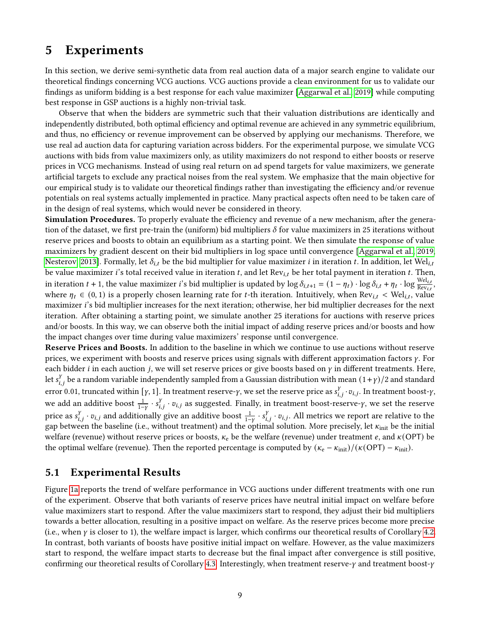## 5 Experiments

In this section, we derive semi-synthetic data from real auction data of a major search engine to validate our theoretical findings concerning VCG auctions. VCG auctions provide a clean environment for us to validate our findings as uniform bidding is a best response for each value maximizer [\[Aggarwal et al., 2019\]](#page-10-0) while computing best response in GSP auctions is a highly non-trivial task.

Observe that when the bidders are symmetric such that their valuation distributions are identically and independently distributed, both optimal efficiency and optimal revenue are achieved in any symmetric equilibrium, and thus, no efficiency or revenue improvement can be observed by applying our mechanisms. Therefore, we use real ad auction data for capturing variation across bidders. For the experimental purpose, we simulate VCG auctions with bids from value maximizers only, as utility maximizers do not respond to either boosts or reserve prices in VCG mechanisms. Instead of using real return on ad spend targets for value maximizers, we generate artificial targets to exclude any practical noises from the real system. We emphasize that the main objective for our empirical study is to validate our theoretical findings rather than investigating the efficiency and/or revenue potentials on real systems actually implemented in practice. Many practical aspects often need to be taken care of in the design of real systems, which would never be considered in theory.

Simulation Procedures. To properly evaluate the efficiency and revenue of a new mechanism, after the generation of the dataset, we first pre-train the (uniform) bid multipliers  $\delta$  for value maximizers in 25 iterations without reserve prices and boosts to obtain an equilibrium as a starting point. We then simulate the response of value maximizers by gradient descent on their bid multipliers in log space until convergence [\[Aggarwal et al., 2019,](#page-10-0) [Nesterov, 2013\]](#page-12-17). Formally, let  $\delta_{i,t}$  be the bid multiplier for value maximizer *i* in iteration *t*. In addition, let Wel<sub>it</sub> be value maximizer i's total received value in iteration t, and let  $Rev_{i,t}$  be her total payment in iteration t. Then, in iteration  $t + 1$ , the value maximizer i's bid multiplier is updated by  $\log \delta_{i,t+1} = (1 - \eta_t) \cdot \log \delta_{i,t} + \eta_t \cdot \log \frac{\mathrm{Wel}_{i,t}}{\mathrm{Rev}_{i,t}},$ where  $\eta_t \in (0,1)$  is a properly chosen learning rate for t-th iteration. Intuitively, when Rev<sub>it</sub> < Wel<sub>it</sub>, value maximizer i's bid multiplier increases for the next iteration; otherwise, her bid multiplier decreases for the next iteration. After obtaining a starting point, we simulate another 25 iterations for auctions with reserve prices and/or boosts. In this way, we can observe both the initial impact of adding reserve prices and/or boosts and how the impact changes over time during value maximizers' response until convergence.

Reserve Prices and Boosts. In addition to the baseline in which we continue to use auctions without reserve prices, we experiment with boosts and reserve prices using signals with different approximation factors  $\gamma$ . For each bidder *i* in each auction *j*, we will set reserve prices or give boosts based on  $\gamma$  in different treatments. Here, Let  $s_{i,j}^V$  be a random variable independently sampled from a Gaussian distribution with mean  $(1+\gamma)/2$  and standard error 0.01, truncated within [ $\gamma$ , 1]. In treatment reserve- $\gamma$ , we set the reserve price as  $s_{i,i}^{\gamma} \cdot v_{i,j}$ . In treatment boost- $\gamma$ , we add an additive boost  $\frac{1}{1-y} \cdot s_{i,j}^Y \cdot v_{i,j}$  as suggested. Finally, in treatment boost-reserve- $\gamma$ , we set the reserve price as  $s_{i,j}^Y \cdot v_{i,j}$  and additionally give an additive boost  $\frac{1}{1-Y} \cdot s_{i,j}^Y \cdot v_{i,j}$ . All metrics we report are relative to the gap between the baseline (i.e., without treatment) and the optimal solution. More precisely, let  $\kappa_{\rm init}$  be the initial welfare (revenue) without reserve prices or boosts,  $\kappa_e$  be the welfare (revenue) under treatment e, and  $\kappa$ (OPT) be the optimal welfare (revenue). Then the reported percentage is computed by  $(\kappa_e - \kappa_{init})/(\kappa(OPT) - \kappa_{init})$ .

#### 5.1 Experimental Results

Figure [1a](#page-9-0) reports the trend of welfare performance in VCG auctions under different treatments with one run of the experiment. Observe that both variants of reserve prices have neutral initial impact on welfare before value maximizers start to respond. After the value maximizers start to respond, they adjust their bid multipliers towards a better allocation, resulting in a positive impact on welfare. As the reserve prices become more precise (i.e., when  $\gamma$  is closer to 1), the welfare impact is larger, which confirms our theoretical results of Corollary [4.2.](#page-6-0) In contrast, both variants of boosts have positive initial impact on welfare. However, as the value maximizers start to respond, the welfare impact starts to decrease but the final impact after convergence is still positive, confirming our theoretical results of Corollary [4.3.](#page-6-1) Interestingly, when treatment reserve- $\gamma$  and treatment boost- $\gamma$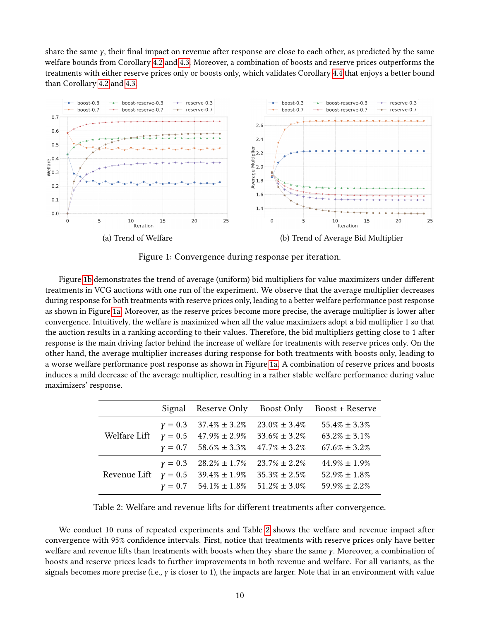share the same  $\gamma$ , their final impact on revenue after response are close to each other, as predicted by the same welfare bounds from Corollary [4.2](#page-6-0) and [4.3.](#page-6-1) Moreover, a combination of boosts and reserve prices outperforms the treatments with either reserve prices only or boosts only, which validates Corollary [4.4](#page-6-2) that enjoys a better bound than Corollary [4.2](#page-6-0) and [4.3.](#page-6-1)

<span id="page-9-0"></span>

Figure 1: Convergence during response per iteration.

Figure [1b](#page-9-0) demonstrates the trend of average (uniform) bid multipliers for value maximizers under different treatments in VCG auctions with one run of the experiment. We observe that the average multiplier decreases during response for both treatments with reserve prices only, leading to a better welfare performance post response as shown in Figure [1a.](#page-9-0) Moreover, as the reserve prices become more precise, the average multiplier is lower after convergence. Intuitively, the welfare is maximized when all the value maximizers adopt a bid multiplier 1 so that the auction results in a ranking according to their values. Therefore, the bid multipliers getting close to 1 after response is the main driving factor behind the increase of welfare for treatments with reserve prices only. On the other hand, the average multiplier increases during response for both treatments with boosts only, leading to a worse welfare performance post response as shown in Figure [1a.](#page-9-0) A combination of reserve prices and boosts induces a mild decrease of the average multiplier, resulting in a rather stable welfare performance during value maximizers' response.

<span id="page-9-1"></span>

|              | Signal    | Reserve Only                    | Boost Only         | Boost + Reserve    |
|--------------|-----------|---------------------------------|--------------------|--------------------|
|              | $y = 0.3$ | $37.4\% \pm 3.2\%$              | $23.0\% \pm 3.4\%$ | $55.4\% \pm 3.3\%$ |
| Welfare Lift |           | $y = 0.5$ 47.9% $\pm 2.9\%$     | $33.6\% \pm 3.2\%$ | $63.2\% \pm 3.1\%$ |
|              |           | $y = 0.7$ 58.6% ± 3.3%          | $47.7\% \pm 3.2\%$ | $67.6\% \pm 3.2\%$ |
| Revenue Lift | $y = 0.3$ | $28.2\% \pm 1.7\%$              | $23.7\% \pm 2.2\%$ | $44.9\% \pm 1.9\%$ |
|              | $y=0.5$   | $39.4\% \pm 1.9\%$              | $35.3\% \pm 2.5\%$ | $52.9\% \pm 1.8\%$ |
|              |           | $\gamma = 0.7$ 54.1% $\pm$ 1.8% | $51.2\% \pm 3.0\%$ | $59.9\% \pm 2.2\%$ |

Table 2: Welfare and revenue lifts for different treatments after convergence.

We conduct 10 runs of repeated experiments and Table [2](#page-9-1) shows the welfare and revenue impact after convergence with 95% condence intervals. First, notice that treatments with reserve prices only have better welfare and revenue lifts than treatments with boosts when they share the same  $\gamma$ . Moreover, a combination of boosts and reserve prices leads to further improvements in both revenue and welfare. For all variants, as the signals becomes more precise (i.e.,  $\gamma$  is closer to 1), the impacts are larger. Note that in an environment with value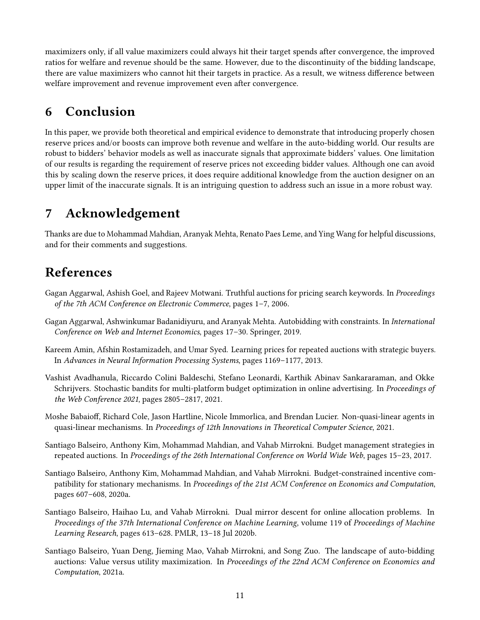maximizers only, if all value maximizers could always hit their target spends after convergence, the improved ratios for welfare and revenue should be the same. However, due to the discontinuity of the bidding landscape, there are value maximizers who cannot hit their targets in practice. As a result, we witness difference between welfare improvement and revenue improvement even after convergence.

# 6 Conclusion

In this paper, we provide both theoretical and empirical evidence to demonstrate that introducing properly chosen reserve prices and/or boosts can improve both revenue and welfare in the auto-bidding world. Our results are robust to bidders' behavior models as well as inaccurate signals that approximate bidders' values. One limitation of our results is regarding the requirement of reserve prices not exceeding bidder values. Although one can avoid this by scaling down the reserve prices, it does require additional knowledge from the auction designer on an upper limit of the inaccurate signals. It is an intriguing question to address such an issue in a more robust way.

# 7 Acknowledgement

Thanks are due to Mohammad Mahdian, Aranyak Mehta, Renato Paes Leme, and Ying Wang for helpful discussions, and for their comments and suggestions.

# References

- <span id="page-10-3"></span>Gagan Aggarwal, Ashish Goel, and Rajeev Motwani. Truthful auctions for pricing search keywords. In Proceedings of the 7th ACM Conference on Electronic Commerce, pages 1–7, 2006.
- <span id="page-10-0"></span>Gagan Aggarwal, Ashwinkumar Badanidiyuru, and Aranyak Mehta. Autobidding with constraints. In International Conference on Web and Internet Economics, pages 17–30. Springer, 2019.
- <span id="page-10-8"></span>Kareem Amin, Afshin Rostamizadeh, and Umar Syed. Learning prices for repeated auctions with strategic buyers. In Advances in Neural Information Processing Systems, pages 1169–1177, 2013.
- <span id="page-10-4"></span>Vashist Avadhanula, Riccardo Colini Baldeschi, Stefano Leonardi, Karthik Abinav Sankararaman, and Okke Schrijvers. Stochastic bandits for multi-platform budget optimization in online advertising. In Proceedings of the Web Conference 2021, pages 2805–2817, 2021.
- <span id="page-10-1"></span>Moshe Babaioff, Richard Cole, Jason Hartline, Nicole Immorlica, and Brendan Lucier. Non-quasi-linear agents in quasi-linear mechanisms. In Proceedings of 12th Innovations in Theoretical Computer Science, 2021.
- <span id="page-10-6"></span>Santiago Balseiro, Anthony Kim, Mohammad Mahdian, and Vahab Mirrokni. Budget management strategies in repeated auctions. In Proceedings of the 26th International Conference on World Wide Web, pages 15–23, 2017.
- <span id="page-10-7"></span>Santiago Balseiro, Anthony Kim, Mohammad Mahdian, and Vahab Mirrokni. Budget-constrained incentive compatibility for stationary mechanisms. In Proceedings of the 21st ACM Conference on Economics and Computation, pages 607–608, 2020a.
- <span id="page-10-5"></span>Santiago Balseiro, Haihao Lu, and Vahab Mirrokni. Dual mirror descent for online allocation problems. In Proceedings of the 37th International Conference on Machine Learning, volume 119 of Proceedings of Machine Learning Research, pages 613–628. PMLR, 13–18 Jul 2020b.
- <span id="page-10-2"></span>Santiago Balseiro, Yuan Deng, Jieming Mao, Vahab Mirrokni, and Song Zuo. The landscape of auto-bidding auctions: Value versus utility maximization. In Proceedings of the 22nd ACM Conference on Economics and Computation, 2021a.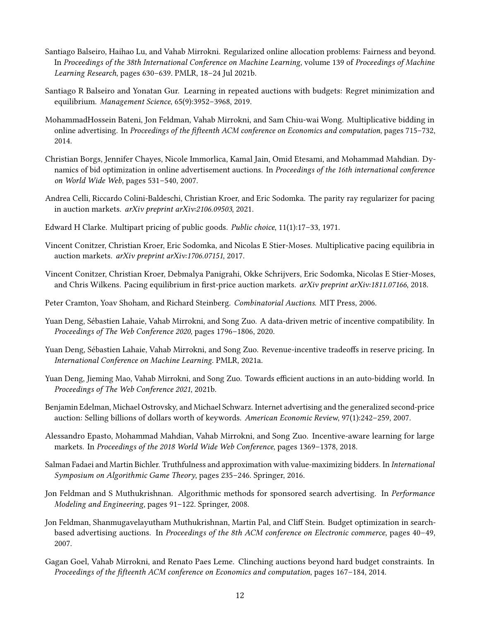- <span id="page-11-9"></span>Santiago Balseiro, Haihao Lu, and Vahab Mirrokni. Regularized online allocation problems: Fairness and beyond. In Proceedings of the 38th International Conference on Machine Learning, volume 139 of Proceedings of Machine Learning Research, pages 630–639. PMLR, 18–24 Jul 2021b.
- <span id="page-11-8"></span>Santiago R Balseiro and Yonatan Gur. Learning in repeated auctions with budgets: Regret minimization and equilibrium. Management Science, 65(9):3952–3968, 2019.
- <span id="page-11-14"></span>MohammadHossein Bateni, Jon Feldman, Vahab Mirrokni, and Sam Chiu-wai Wong. Multiplicative bidding in online advertising. In Proceedings of the fifteenth ACM conference on Economics and computation, pages 715–732, 2014.
- <span id="page-11-7"></span>Christian Borgs, Jennifer Chayes, Nicole Immorlica, Kamal Jain, Omid Etesami, and Mohammad Mahdian. Dynamics of bid optimization in online advertisement auctions. In Proceedings of the 16th international conference on World Wide Web, pages 531–540, 2007.
- <span id="page-11-10"></span>Andrea Celli, Riccardo Colini-Baldeschi, Christian Kroer, and Eric Sodomka. The parity ray regularizer for pacing in auction markets. arXiv preprint arXiv:2106.09503, 2021.
- <span id="page-11-2"></span>Edward H Clarke. Multipart pricing of public goods. Public choice, 11(1):17–33, 1971.
- <span id="page-11-11"></span>Vincent Conitzer, Christian Kroer, Eric Sodomka, and Nicolas E Stier-Moses. Multiplicative pacing equilibria in auction markets. arXiv preprint arXiv:1706.07151, 2017.
- <span id="page-11-12"></span>Vincent Conitzer, Christian Kroer, Debmalya Panigrahi, Okke Schrijvers, Eric Sodomka, Nicolas E Stier-Moses, and Chris Wilkens. Pacing equilibrium in first-price auction markets. arXiv preprint arXiv:1811.07166, 2018.
- <span id="page-11-3"></span>Peter Cramton, Yoav Shoham, and Richard Steinberg. Combinatorial Auctions. MIT Press, 2006.
- <span id="page-11-15"></span>Yuan Deng, Sébastien Lahaie, Vahab Mirrokni, and Song Zuo. A data-driven metric of incentive compatibility. In Proceedings of The Web Conference 2020, pages 1796–1806, 2020.
- <span id="page-11-13"></span>Yuan Deng, Sébastien Lahaie, Vahab Mirrokni, and Song Zuo. Revenue-incentive tradeoffs in reserve pricing. In International Conference on Machine Learning. PMLR, 2021a.
- <span id="page-11-0"></span>Yuan Deng, Jieming Mao, Vahab Mirrokni, and Song Zuo. Towards efficient auctions in an auto-bidding world. In Proceedings of The Web Conference 2021, 2021b.
- <span id="page-11-4"></span>Benjamin Edelman, Michael Ostrovsky, and Michael Schwarz. Internet advertising and the generalized second-price auction: Selling billions of dollars worth of keywords. American Economic Review, 97(1):242–259, 2007.
- <span id="page-11-1"></span>Alessandro Epasto, Mohammad Mahdian, Vahab Mirrokni, and Song Zuo. Incentive-aware learning for large markets. In Proceedings of the 2018 World Wide Web Conference, pages 1369–1378, 2018.
- <span id="page-11-6"></span>Salman Fadaei and Martin Bichler. Truthfulness and approximation with value-maximizing bidders. In International Symposium on Algorithmic Game Theory, pages 235–246. Springer, 2016.
- <span id="page-11-16"></span>Jon Feldman and S Muthukrishnan. Algorithmic methods for sponsored search advertising. In Performance Modeling and Engineering, pages 91–122. Springer, 2008.
- <span id="page-11-17"></span>Jon Feldman, Shanmugavelayutham Muthukrishnan, Martin Pal, and Cliff Stein. Budget optimization in searchbased advertising auctions. In Proceedings of the 8th ACM conference on Electronic commerce, pages 40-49, 2007.
- <span id="page-11-5"></span>Gagan Goel, Vahab Mirrokni, and Renato Paes Leme. Clinching auctions beyond hard budget constraints. In Proceedings of the fteenth ACM conference on Economics and computation, pages 167–184, 2014.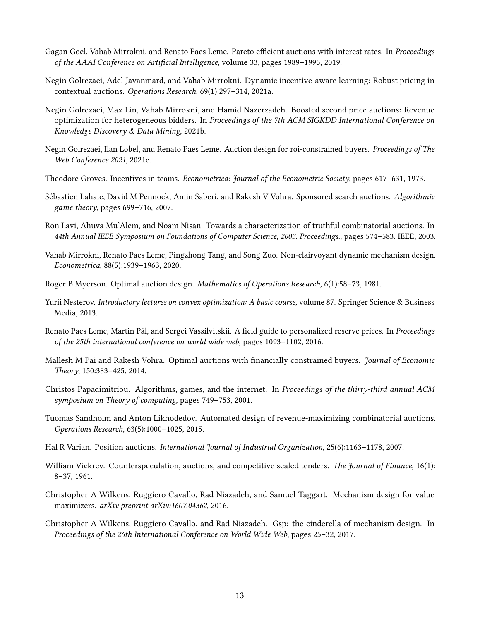- <span id="page-12-7"></span>Gagan Goel, Vahab Mirrokni, and Renato Paes Leme. Pareto efficient auctions with interest rates. In Proceedings of the AAAI Conference on Artificial Intelligence, volume 33, pages 1989–1995, 2019.
- <span id="page-12-1"></span>Negin Golrezaei, Adel Javanmard, and Vahab Mirrokni. Dynamic incentive-aware learning: Robust pricing in contextual auctions. Operations Research, 69(1):297–314, 2021a.
- <span id="page-12-11"></span>Negin Golrezaei, Max Lin, Vahab Mirrokni, and Hamid Nazerzadeh. Boosted second price auctions: Revenue optimization for heterogeneous bidders. In Proceedings of the 7th ACM SIGKDD International Conference on Knowledge Discovery & Data Mining, 2021b.
- <span id="page-12-0"></span>Negin Golrezaei, Ilan Lobel, and Renato Paes Leme. Auction design for roi-constrained buyers. Proceedings of The Web Conference 2021, 2021c.
- <span id="page-12-2"></span>Theodore Groves. Incentives in teams. Econometrica: Journal of the Econometric Society, pages 617–631, 1973.
- <span id="page-12-15"></span>Sébastien Lahaie, David M Pennock, Amin Saberi, and Rakesh V Vohra. Sponsored search auctions. Algorithmic game theory, pages 699–716, 2007.
- <span id="page-12-12"></span>Ron Lavi, Ahuva Mu'Alem, and Noam Nisan. Towards a characterization of truthful combinatorial auctions. In 44th Annual IEEE Symposium on Foundations of Computer Science, 2003. Proceedings., pages 574–583. IEEE, 2003.
- <span id="page-12-5"></span>Vahab Mirrokni, Renato Paes Leme, Pingzhong Tang, and Song Zuo. Non-clairvoyant dynamic mechanism design. Econometrica, 88(5):1939–1963, 2020.
- <span id="page-12-4"></span>Roger B Myerson. Optimal auction design. Mathematics of Operations Research, 6(1):58–73, 1981.
- <span id="page-12-17"></span>Yurii Nesterov. Introductory lectures on convex optimization: A basic course, volume 87. Springer Science & Business Media, 2013.
- <span id="page-12-13"></span>Renato Paes Leme, Martin Pál, and Sergei Vassilvitskii. A field guide to personalized reserve prices. In Proceedings of the 25th international conference on world wide web, pages 1093–1102, 2016.
- <span id="page-12-10"></span>Mallesh M Pai and Rakesh Vohra. Optimal auctions with financially constrained buyers. Journal of Economic Theory, 150:383–425, 2014.
- <span id="page-12-16"></span>Christos Papadimitriou. Algorithms, games, and the internet. In Proceedings of the thirty-third annual ACM symposium on Theory of computing, pages 749–753, 2001.
- <span id="page-12-14"></span>Tuomas Sandholm and Anton Likhodedov. Automated design of revenue-maximizing combinatorial auctions. Operations Research, 63(5):1000–1025, 2015.
- <span id="page-12-6"></span>Hal R Varian. Position auctions. International Journal of Industrial Organization, 25(6):1163–1178, 2007.
- <span id="page-12-3"></span>William Vickrey. Counterspeculation, auctions, and competitive sealed tenders. The Journal of Finance, 16(1): 8–37, 1961.
- <span id="page-12-8"></span>Christopher A Wilkens, Ruggiero Cavallo, Rad Niazadeh, and Samuel Taggart. Mechanism design for value maximizers. arXiv preprint arXiv:1607.04362, 2016.
- <span id="page-12-9"></span>Christopher A Wilkens, Ruggiero Cavallo, and Rad Niazadeh. Gsp: the cinderella of mechanism design. In Proceedings of the 26th International Conference on World Wide Web, pages 25–32, 2017.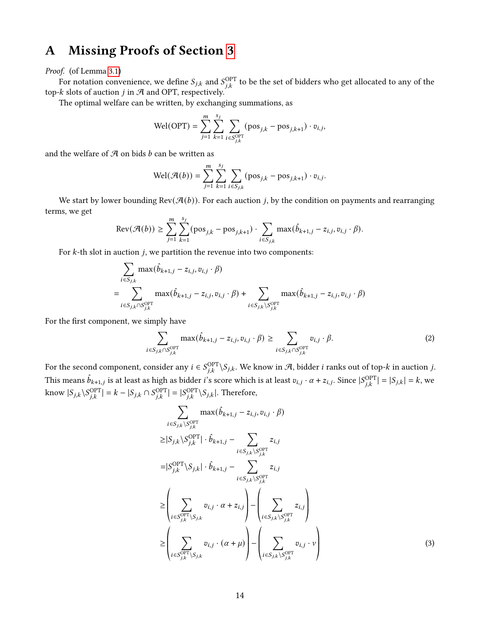# <span id="page-13-0"></span>A Missing Proofs of Section [3](#page-5-1)

#### Proof. (of Lemma [3.1\)](#page-5-0)

For notation convenience, we define  $S_{j,k}$  and  $S_{j,k}^{\mathrm{OPT}}$  to be the set of bidders who get allocated to any of the top- $k$  slots of auction  $j$  in  $A$  and OPT, respectively.

The optimal welfare can be written, by exchanging summations, as

$$
\text{Wel(OPT)} = \sum_{j=1}^{m} \sum_{k=1}^{s_j} \sum_{i \in S_{j,k}^{\text{OPT}}} (\text{pos}_{j,k} - \text{pos}_{j,k+1}) \cdot v_{i,j},
$$

and the welfare of  $A$  on bids  $b$  can be written as

$$
\text{Wel}(\mathcal{A}(b)) = \sum_{j=1}^{m} \sum_{k=1}^{s_j} \sum_{i \in S_{j,k}} (\text{pos}_{j,k} - \text{pos}_{j,k+1}) \cdot v_{i,j}.
$$

We start by lower bounding  $\text{Rev}(\mathcal{A}(b))$ . For each auction *j*, by the condition on payments and rearranging terms, we get

$$
\text{Rev}(\mathcal{A}(b)) \geq \sum_{j=1}^{m} \sum_{k=1}^{s_j} (\text{pos}_{j,k} - \text{pos}_{j,k+1}) \cdot \sum_{i \in S_{j,k}} \max(\hat{b}_{k+1,j} - z_{i,j}, v_{i,j} \cdot \beta).
$$

For  $k$ -th slot in auction  $j$ , we partition the revenue into two components:

$$
\sum_{i \in S_{j,k}} \max(\hat{b}_{k+1,j} - z_{i,j}, v_{i,j} \cdot \beta)
$$
\n
$$
= \sum_{i \in S_{j,k} \cap S_{j,k}^{\text{OPT}}} \max(\hat{b}_{k+1,j} - z_{i,j}, v_{i,j} \cdot \beta) + \sum_{i \in S_{j,k} \setminus S_{j,k}^{\text{OPT}}} \max(\hat{b}_{k+1,j} - z_{i,j}, v_{i,j} \cdot \beta)
$$

For the first component, we simply have

$$
\sum_{i \in S_{j,k} \cap S_{j,k}^{\text{OPT}}} \max(\hat{b}_{k+1,j} - z_{i,j}, v_{i,j} \cdot \beta) \ge \sum_{i \in S_{j,k} \cap S_{j,k}^{\text{OPT}}} v_{i,j} \cdot \beta. \tag{2}
$$

For the second component, consider any  $i \in S_{i,k}^{\text{OPT}} \backslash S_{j,k}$ . We know in A, bidder  $i$  ranks out of top- $k$  in auction  $j$ . This means  $\hat{b}_{k+1,j}$  is at least as high as bidder *i*'s score which is at least  $v_{i,j} \cdot \alpha + z_{i,j}$ . Since  $|S_{j,k}^{\text{OPT}}| = |S_{j,k}| = k$ , we know  $|S_{j,k} \setminus S_{i,k}^{\text{OPT}}| = k - |S_{j,k} \cap S_{i,k}^{\text{OPT}}| = |S_{i,k}^{\text{OPT}} \setminus S_{j,k}|$ . Therefore,

$$
\sum_{i \in S_{j,k} \setminus S_{j,k}^{\text{OPT}}} \max(\hat{b}_{k+1,j} - z_{i,j}, v_{i,j} \cdot \beta)
$$
\n
$$
\geq |S_{j,k} \setminus S_{j,k}^{\text{OPT}}| \cdot \hat{b}_{k+1,j} - \sum_{i \in S_{j,k} \setminus S_{j,k}^{\text{OPT}}} z_{i,j}
$$
\n
$$
= |S_{j,k}^{\text{OPT}} \setminus S_{j,k}| \cdot \hat{b}_{k+1,j} - \sum_{i \in S_{j,k} \setminus S_{j,k}^{\text{OPT}}} z_{i,j}
$$
\n
$$
\geq \left(\sum_{i \in S_{j,k}^{\text{OPT}} \setminus S_{j,k}} v_{i,j} \cdot \alpha + z_{i,j}\right) - \left(\sum_{i \in S_{j,k} \setminus S_{j,k}^{\text{OPT}}} z_{i,j}\right)
$$
\n
$$
\geq \left(\sum_{i \in S_{j,k}^{\text{OPT}} \setminus S_{j,k}} v_{i,j} \cdot (\alpha + \mu)\right) - \left(\sum_{i \in S_{j,k} \setminus S_{j,k}^{\text{OPT}}} v_{i,j} \cdot \nu\right)
$$
\n(3)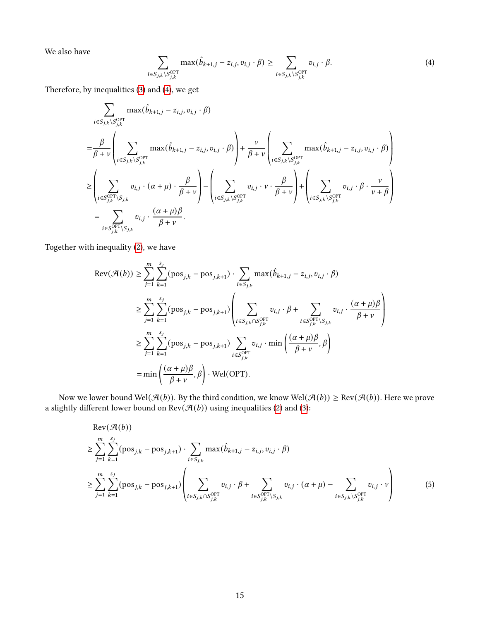We also have

$$
\sum_{i \in S_{j,k} \setminus S_{j,k}^{\text{OPT}}} \max(\hat{b}_{k+1,j} - z_{i,j}, v_{i,j} \cdot \beta) \ge \sum_{i \in S_{j,k} \setminus S_{j,k}^{\text{OPT}}} v_{i,j} \cdot \beta. \tag{4}
$$

Therefore, by inequalities [\(3\)](#page-13-0) and [\(4\)](#page-13-0), we get

$$
\sum_{i \in S_{j,k} \setminus S_{j,k}^{\text{OPT}}} \max(\hat{b}_{k+1,j} - z_{i,j}, v_{i,j} \cdot \beta)
$$
\n
$$
= \frac{\beta}{\beta + v} \left( \sum_{i \in S_{j,k} \setminus S_{j,k}^{\text{OPT}}} \max(\hat{b}_{k+1,j} - z_{i,j}, v_{i,j} \cdot \beta) \right) + \frac{v}{\beta + v} \left( \sum_{i \in S_{j,k} \setminus S_{j,k}^{\text{OPT}}} \max(\hat{b}_{k+1,j} - z_{i,j}, v_{i,j} \cdot \beta) \right)
$$
\n
$$
\geq \left( \sum_{i \in S_{j,k}^{\text{OPT}} \setminus S_{j,k}} v_{i,j} \cdot (\alpha + \mu) \cdot \frac{\beta}{\beta + v} \right) - \left( \sum_{i \in S_{j,k} \setminus S_{j,k}^{\text{OPT}}} v_{i,j} \cdot v \cdot \frac{\beta}{\beta + v} \right) + \left( \sum_{i \in S_{j,k} \setminus S_{j,k}^{\text{OPT}}} v_{i,j} \cdot \beta \cdot \frac{v}{v + \beta} \right)
$$
\n
$$
= \sum_{i \in S_{j,k}^{\text{OPT}} \setminus S_{j,k}} v_{i,j} \cdot \frac{(\alpha + \mu)\beta}{\beta + v}.
$$

Together with inequality [\(2\)](#page-13-0), we have

$$
\begin{split} \text{Rev}(\mathcal{A}(b)) &\geq \sum_{j=1}^{m} \sum_{k=1}^{s_j} (\text{pos}_{j,k} - \text{pos}_{j,k+1}) \cdot \sum_{i \in S_{j,k}} \max(\hat{b}_{k+1,j} - z_{i,j}, v_{i,j} \cdot \beta) \\ &\geq \sum_{j=1}^{m} \sum_{k=1}^{s_j} (\text{pos}_{j,k} - \text{pos}_{j,k+1}) \left( \sum_{i \in S_{j,k} \cap S_{j,k}^{\text{OPT}}} v_{i,j} \cdot \beta + \sum_{i \in S_{j,k}^{\text{OPT}} \setminus S_{j,k}} v_{i,j} \cdot \frac{(\alpha + \mu)\beta}{\beta + \nu} \right) \\ &\geq \sum_{j=1}^{m} \sum_{k=1}^{s_j} (\text{pos}_{j,k} - \text{pos}_{j,k+1}) \sum_{i \in S_{j,k}^{\text{OPT}}} v_{i,j} \cdot \min\left(\frac{(\alpha + \mu)\beta}{\beta + \nu}, \beta\right) \\ &= \min\left(\frac{(\alpha + \mu)\beta}{\beta + \nu}, \beta\right) \cdot \text{Wel(OPT)}. \end{split}
$$

Now we lower bound Wel $(\mathcal{A}(b))$ . By the third condition, we know Wel $(\mathcal{A}(b)) \geq \text{Rev}(\mathcal{A}(b))$ . Here we prove a slightly different lower bound on  $\operatorname{Rev}(\mathcal{A}(b))$  using inequalities [\(2\)](#page-13-0) and [\(3\)](#page-13-0):

$$
\begin{aligned}\n &\text{Rev}(\mathcal{A}(b)) \\
&\geq \sum_{j=1}^{m} \sum_{k=1}^{s_j} (\text{pos}_{j,k} - \text{pos}_{j,k+1}) \cdot \sum_{i \in S_{j,k}} \max(\hat{b}_{k+1,j} - z_{i,j}, v_{i,j} \cdot \beta) \\
&\geq \sum_{j=1}^{m} \sum_{k=1}^{s_j} (\text{pos}_{j,k} - \text{pos}_{j,k+1}) \left( \sum_{i \in S_{j,k} \cap S_{j,k}^{\text{OPT}}} v_{i,j} \cdot \beta + \sum_{i \in S_{j,k}^{\text{OPT}} \setminus S_{j,k}} v_{i,j} \cdot (\alpha + \mu) - \sum_{i \in S_{j,k} \setminus S_{j,k}^{\text{OPT}}} v_{i,j} \cdot \nu \right)\n \end{aligned}\n \tag{5}
$$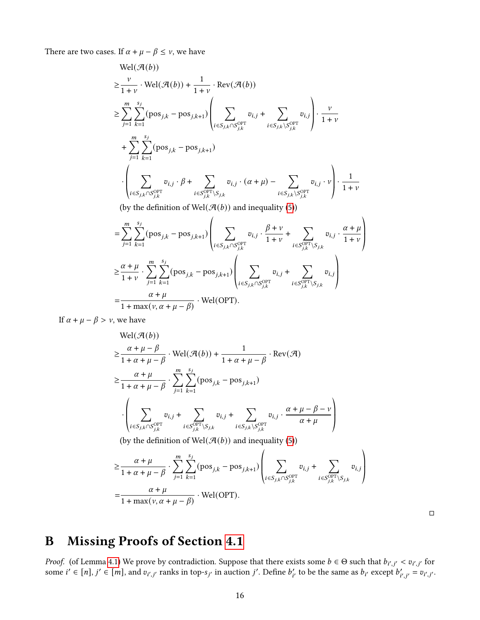There are two cases. If  $\alpha + \mu - \beta \leq \nu$ , we have

$$
\text{Wel}(\mathcal{A}(b))
$$
\n
$$
\geq \sum_{j=1}^{V} \sum_{k=1}^{V} (\text{pos}_{j,k} - \text{pos}_{j,k+1}) \left( \sum_{i \in S_{j,k} \cap S_{j,k}^{\text{OPT}}} v_{i,j} + \sum_{i \in S_{j,k} \setminus S_{j,k}^{\text{OPT}}} v_{i,j} \right) \cdot \frac{v}{1+v}
$$
\n
$$
+ \sum_{j=1}^{m} \sum_{k=1}^{s_j} (\text{pos}_{j,k} - \text{pos}_{j,k+1})
$$
\n
$$
\cdot \left( \sum_{i \in S_{j,k} \cap S_{j,k}^{\text{OPT}}} v_{i,j} \cdot \beta + \sum_{i \in S_{j,k}^{\text{OPT}} \setminus S_{j,k}} v_{i,j} \cdot (\alpha + \mu) - \sum_{i \in S_{j,k} \setminus S_{j,k}^{\text{OPT}}} v_{i,j} \cdot v \right) \cdot \frac{1}{1+v}
$$
\n(by the definition of Wol( $\mathcal{A}(b)$ ) and inequality (5))

(by the definition of Wel $(\mathcal{A}(b))$  and inequality [\(5\)](#page-13-0))  $\overline{1}$ 

$$
= \sum_{j=1}^{m} \sum_{k=1}^{s_j} (\text{pos}_{j,k} - \text{pos}_{j,k+1}) \left( \sum_{i \in S_{j,k} \cap S_{j,k}^{\text{OPT}}} v_{i,j} \cdot \frac{\beta + \nu}{1 + \nu} + \sum_{i \in S_{j,k}^{\text{OPT}} \setminus S_{j,k}} v_{i,j} \cdot \frac{\alpha + \mu}{1 + \nu} \right)
$$
  

$$
\geq \frac{\alpha + \mu}{1 + \nu} \cdot \sum_{j=1}^{m} \sum_{k=1}^{s_j} (\text{pos}_{j,k} - \text{pos}_{j,k+1}) \left( \sum_{i \in S_{j,k} \cap S_{j,k}^{\text{OPT}}} v_{i,j} + \sum_{i \in S_{j,k}^{\text{OPT}} \setminus S_{j,k}} v_{i,j} \right)
$$
  

$$
= \frac{\alpha + \mu}{1 + \max(\nu, \alpha + \mu - \beta)} \cdot \text{Wel(OPT)}.
$$

If  $\alpha + \mu - \beta > \nu$ , we have

$$
\text{Wel}(\mathcal{A}(b))
$$
\n
$$
\geq \frac{\alpha + \mu - \beta}{1 + \alpha + \mu - \beta} \cdot \text{Wel}(\mathcal{A}(b)) + \frac{1}{1 + \alpha + \mu - \beta} \cdot \text{Rev}(\mathcal{A})
$$
\n
$$
\geq \frac{\alpha + \mu}{1 + \alpha + \mu - \beta} \cdot \sum_{j=1}^{m} \sum_{k=1}^{s_j} (\text{pos}_{j,k} - \text{pos}_{j,k+1})
$$
\n
$$
\cdot \left( \sum_{i \in S_{j,k} \cap S_{j,k}^{\text{OPT}}} v_{i,j} + \sum_{i \in S_{j,k}^{\text{OPT}} \setminus S_{j,k}} v_{i,j} + \sum_{i \in S_{j,k} \setminus S_{j,k}^{\text{OPT}}} v_{i,j} \cdot \frac{\alpha + \mu - \beta - \nu}{\alpha + \mu} \right)
$$
\n(by the definition of Wel(\mathcal{A}(b)) and inequality (5))

$$
\geq \frac{\alpha+\mu}{1+\alpha+\mu-\beta} \cdot \sum_{j=1}^{m} \sum_{k=1}^{s_j} (\text{pos}_{j,k}-\text{pos}_{j,k+1}) \left(\sum_{i \in S_{j,k} \cap S^{\text{OPT}}_{j,k}} v_{i,j} + \sum_{i \in S^{\text{OPT}}_{j,k} \setminus S_{j,k}} v_{i,j}\right) \\ = \frac{\alpha+\mu}{1+\max(\nu,\alpha+\mu-\beta)} \cdot \text{Wel(OPT)}.
$$

 $\Box$ 

ª ® ®

 $\lambda$ 

# <span id="page-15-0"></span>B Missing Proofs of Section [4.1](#page-6-4)

*Proof.* (of Lemma [4.1\)](#page-6-3) We prove by contradiction. Suppose that there exists some  $b \in \Theta$  such that  $b_{i',j'} < v_{i',j'}$  for some  $i' \in [n]$ ,  $j' \in [m]$ , and  $v_{i',j'}$  ranks in top-s<sub>j'</sub> in auction j'. Define  $b'_{i'}$  to be the same as  $b_{i'}$  except  $b'_{i',j'} = v_{i',j'}$ .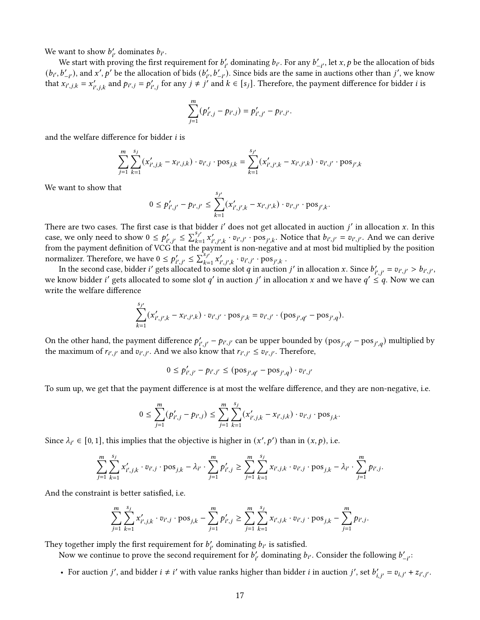We want to show  $b'_{i'}$  dominates  $b_{i'}$ .

We start with proving the first requirement for  $b'_{i'}$  dominating  $b_{i'}$ . For any  $b'_{-i'}$ , let  $x, p$  be the allocation of bids  $(b_{i'}, b'_{-i'})$ , and  $x', p'$  be the allocation of bids  $(b'_{i'}, b'_{-i'})$ . Since bids are the same in auctions other than j', we know that  $x_{i',j,k} = x'_{i',j,k}$  and  $p_{i',j} = p'_{i',j}$  for any  $j \neq j'$  and  $k \in [s_j]$ . Therefore, the payment difference for bidder *i* is

$$
\sum_{j=1}^m (p'_{i',j} - p_{i',j}) = p'_{i',j'} - p_{i',j'}.
$$

and the welfare difference for bidder  $i$  is

$$
\sum_{j=1}^{m} \sum_{k=1}^{s_j} (x'_{i',j,k} - x_{i',j,k}) \cdot v_{i',j} \cdot \text{pos}_{j,k} = \sum_{k=1}^{s_{j'}} (x'_{i',j',k} - x_{i',j',k}) \cdot v_{i',j'} \cdot \text{pos}_{j',k}
$$

We want to show that

$$
0 \le p'_{i',j'} - p_{i',j'} \le \sum_{k=1}^{s_{j'}} (x'_{i',j',k} - x_{i',j',k}) \cdot v_{i',j'} \cdot \text{pos}_{j',k}.
$$

There are two cases. The first case is that bidder  $i'$  does not get allocated in auction  $j'$  in allocation  $x$ . In this There are two cases. The first case is that  $\sum_{i=1}^{S_{j'}}$ <br>case, we only need to show  $0 \leq p'_{i',j'} \leq \sum_{k=1}^{S_{j'}}$  $s_{j'}(k=1, x'_{i',j',k} \cdot v_{i',j'} \cdot \text{pos}_{j',k}).$  Notice that  $b_{i',j'} = v_{i',j'}.$  And we can derive from the payment definition of VCG that the payment is non-negative and at most bid multiplied by the position normalizer. Therefore, we have  $0 \le p'_{i',i'} \le \sum_{k=1}^{S_{i'}}$  $_{k=1}^{s_{j'}} x'_{i',j',k} \cdot v_{i',j'} \cdot \text{pos}_{j',k}$ .

In the second case, bidder i' gets allocated to some slot q in auction j' in allocation x. Since  $b'_{i',j'} = v_{i',j'} > b_{i',j'}$ , we know bidder *i'* gets allocated to some slot q' in auction *j'* in allocation x and we have  $q' \leq q$ . Now we can write the welfare difference

$$
\sum_{k=1}^{s_{j'}} (x'_{i',j',k} - x_{i',j',k}) \cdot v_{i',j'} \cdot \text{pos}_{j',k} = v_{i',j'} \cdot (\text{pos}_{j',q'} - \text{pos}_{j',q}).
$$

On the other hand, the payment difference  $p'_{i',i'}-p_{i',j'}$  can be upper bounded by  $(pos_{i',q'}-pos_{i',q})$  multiplied by the maximum of  $r_{i',j'}$  and  $v_{i',j'}$ . And we also know that  $r_{i',j'} \leq v_{i',j'}$ . Therefore,

$$
0 \le p'_{i',j'} - p_{i',j'} \le (\text{pos}_{j',q'} - \text{pos}_{j',q}) \cdot v_{i',j'}
$$

To sum up, we get that the payment difference is at most the welfare difference, and they are non-negative, i.e.

$$
0 \leq \sum_{j=1}^m (p'_{i',j} - p_{i',j}) \leq \sum_{j=1}^m \sum_{k=1}^{s_j} (x'_{i',j,k} - x_{i',j,k}) \cdot v_{i',j} \cdot \text{pos}_{j,k}.
$$

Since  $\lambda_{i'} \in [0, 1]$ , this implies that the objective is higher in  $(x', p')$  than in  $(x, p)$ , i.e.

$$
\sum_{j=1}^m \sum_{k=1}^{s_j} x'_{i',j,k} \cdot v_{i',j} \cdot \text{pos}_{j,k} - \lambda_{i'} \cdot \sum_{j=1}^m p'_{i',j} \ge \sum_{j=1}^m \sum_{k=1}^{s_j} x_{i',j,k} \cdot v_{i',j} \cdot \text{pos}_{j,k} - \lambda_{i'} \cdot \sum_{j=1}^m p_{i',j}.
$$

And the constraint is better satisfied, i.e.

$$
\sum_{j=1}^m \sum_{k=1}^{s_j} x'_{i',j,k} \cdot v_{i',j} \cdot \text{pos}_{j,k} - \sum_{j=1}^m p'_{i',j} \ge \sum_{j=1}^m \sum_{k=1}^{s_j} x_{i',j,k} \cdot v_{i',j} \cdot \text{pos}_{j,k} - \sum_{j=1}^m p_{i',j}.
$$

They together imply the first requirement for  $b'_{i'}$  dominating  $b_{i'}$  is satisfied.

Now we continue to prove the second requirement for  $b'_{i'}$  dominating  $b_{i'}$ . Consider the following  $b'_{-i'}$ :

• For auction *j'*, and bidder  $i \neq i'$  with value ranks higher than bidder *i* in auction *j'*, set  $b'_{i,i'} = v_{i,j'} + z_{i',j'}$ .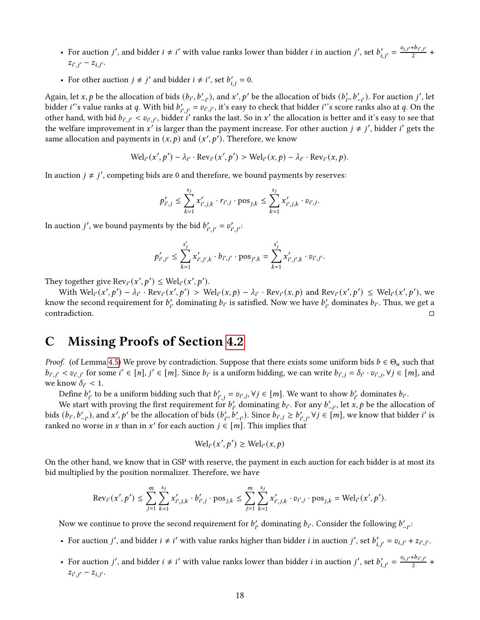- For auction *j'*, and bidder  $i \neq i'$  with value ranks lower than bidder *i* in auction *j'*, set  $b'_{i,i'} = \frac{v_{i,j'} + b_{i',j'}}{2}$  $\frac{1+v_{i',j'}}{2}$  +  $z_{i',j'} - z_{i,j'}.$
- For other auction  $j \neq j'$  and bidder  $i \neq i'$ , set  $b'_{i,j} = 0$ .

Again, let x, p be the allocation of bids  $(b_{i'}, b'_{-i'})$ , and x', p' be the allocation of bids  $(b'_{i'}, b'_{-i'})$ . For auction j', let bidder *i*''s value ranks at q. With bid  $b'_{i',j'} = v_{i',j'}$ , it's easy to check that bidder *i*''s score ranks also at q. On the other hand, with bid  $b_{i',j'} < v_{i',j'}$ , bidder i' ranks the last. So in x' the allocation is better and it's easy to see that the welfare improvement in x' is larger than the payment increase. For other auction  $j \neq j'$ , bidder i' gets the same allocation and payments in  $(x, p)$  and  $(x', p')$ . Therefore, we know

$$
\text{Wel}_{i'}(x',p') - \lambda_{i'} \cdot \text{Rev}_{i'}(x',p') > \text{Wel}_{i'}(x,p) - \lambda_{i'} \cdot \text{Rev}_{i'}(x,p).
$$

In auction  $j \neq j'$ , competing bids are 0 and therefore, we bound payments by reserves:

$$
p'_{i',j} \leq \sum_{k=1}^{s_j} x'_{i',j,k} \cdot r_{i',j} \cdot \text{pos}_{j,k} \leq \sum_{k=1}^{s_j} x'_{i',j,k} \cdot v_{i',j}.
$$

In auction *j'*, we bound payments by the bid  $b'_{i',i'} = v'_{i',i'}$ .

$$
p'_{i',j'} \leq \sum_{k=1}^{s'_j} x'_{i',j',k} \cdot b_{i',j'} \cdot \text{pos}_{j',k} = \sum_{k=1}^{s'_j} x'_{i',j',k} \cdot v_{i',j'}.
$$

They together give  $\text{Rev}_{i'}(x', p') \leq \text{Wel}_{i'}(x', p').$ 

With  $Wel_{i'}(x',p') - \lambda_{i'} \cdot Rev_{i'}(x',p') > Wel_{i'}(x,p) - \lambda_{i'} \cdot Rev_{i'}(x,p)$  and  $Rev_{i'}(x',p') \leq Wel_{i'}(x',p')$ , we know the second requirement for  $b'_{i'}$  dominating  $b_{i'}$  is satisfied. Now we have  $b'_{i'}$  dominates  $b_{i'}$ . Thus, we get a  $\Box$ contradiction.

### <span id="page-17-0"></span>C Missing Proofs of Section [4.2](#page-7-5)

*Proof.* (of Lemma [4.5\)](#page-7-2) We prove by contradiction. Suppose that there exists some uniform bids  $b \in \Theta_u$  such that  $b_{i',j'} < v_{i',j'}$  for some  $i' \in [n], j' \in [m]$ . Since  $b_{i'}$  is a uniform bidding, we can write  $b_{i',j} = \delta_{i'} \cdot v_{i',j}, \forall j \in [m]$ , and we know  $\delta_{i'} < 1$ .

Define  $b'_{i'}$  to be a uniform bidding such that  $b'_{i',j} = v_{i',j}, \forall j \in [m]$ . We want to show  $b'_{i'}$  dominates  $b_{i'}$ .

We start with proving the first requirement for  $b'_{i'}$  dominating  $b_{i'}$ . For any  $b'_{-i'}$ , let x, p be the allocation of bids  $(b_{i'}, b'_{-i'})$ , and x', p' be the allocation of bids  $(b'_{i'}, b'_{-i'})$ . Since  $b_{i',j} \ge b'_{i',j}$ ,  $\forall j \in [m]$ , we know that bidder i' is ranked no worse in x than in x' for each auction  $j \in [m]$ . This implies that

$$
\text{Wel}_{i'}(x', p') \geq \text{Wel}_{i'}(x, p)
$$

On the other hand, we know that in GSP with reserve, the payment in each auction for each bidder is at most its bid multiplied by the position normalizer. Therefore, we have

$$
\text{Rev}_{i'}(x',p') \leq \sum_{j=1}^m \sum_{k=1}^{s_j} x'_{i',j,k} \cdot b'_{i',j} \cdot \text{pos}_{j,k} \leq \sum_{j=1}^m \sum_{k=1}^{s_j} x'_{i',j,k} \cdot v_{i',j} \cdot \text{pos}_{j,k} = \text{Wel}_{i'}(x',p').
$$

Now we continue to prove the second requirement for  $b'_{i'}$  dominating  $b_{i'}$ . Consider the following  $b'_{-i'}$ :

- For auction *j'*, and bidder  $i \neq i'$  with value ranks higher than bidder *i* in auction *j'*, set  $b'_{i,i'} = v_{i,j'} + z_{i',j'}$ .
- For auction *j'*, and bidder  $i \neq i'$  with value ranks lower than bidder *i* in auction *j'*, set  $b'_{i,i'} = \frac{v_{i,j'} + b_{i',j'}}{2}$  $\frac{f^{i}v_{i',j'}}{2}$  +  $z_{i',j'} - z_{i,j'}.$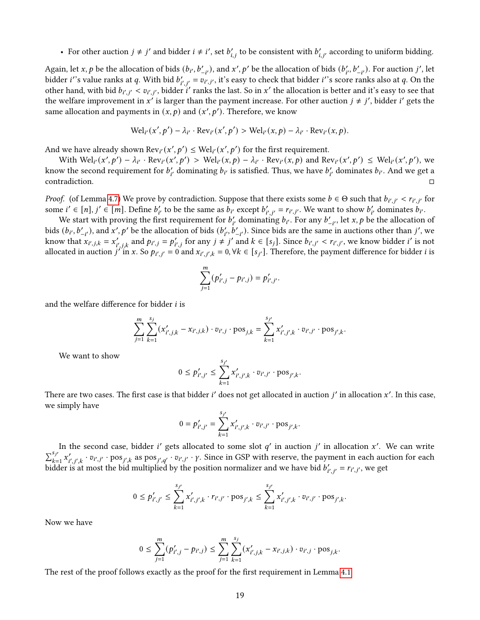• For other auction  $j \neq j'$  and bidder  $i \neq i'$ , set  $b'_{i,j}$  to be consistent with  $b'_{i,j'}$  according to uniform bidding.

Again, let x, p be the allocation of bids  $(b_{i'}, b'_{-i'})$ , and  $x', p'$  be the allocation of bids  $(b'_{i'}, b'_{-i'})$ . For auction j', let bidder *i*''s value ranks at q. With bid  $b'_{i',j'} = v_{i',j'}$ , it's easy to check that bidder *i*''s score ranks also at q. On the other hand, with bid  $b_{i',j'} < v_{i',j'}$ , bidder i' ranks the last. So in x' the allocation is better and it's easy to see that the welfare improvement in x' is larger than the payment increase. For other auction  $j \neq j'$ , bidder i' gets the same allocation and payments in  $(x, p)$  and  $(x', p')$ . Therefore, we know

$$
\mathrm{Wel}_{i'}(x',p') - \lambda_{i'} \cdot \mathrm{Rev}_{i'}(x',p') > \mathrm{Wel}_{i'}(x,p) - \lambda_{i'} \cdot \mathrm{Rev}_{i'}(x,p).
$$

And we have already shown  $\text{Rev}_{i'}(x', p') \leq \text{Wel}_{i'}(x', p')$  for the first requirement.

With  $Wel_{i'}(x',p') - \lambda_{i'} \cdot Rev_{i'}(x',p') > Wel_{i'}(x,p) - \lambda_{i'} \cdot Rev_{i'}(x,p)$  and  $Rev_{i'}(x',p') \leq Wel_{i'}(x',p')$ , we know the second requirement for  $b'_{i'}$  dominating  $b_{i'}$  is satisfied. Thus, we have  $b'_{i'}$  dominates  $b_{i'}$ . And we get a  $\Box$ contradiction.

*Proof.* (of Lemma [4.7\)](#page-7-3) We prove by contradiction. Suppose that there exists some  $b \in \Theta$  such that  $b_{i',j'} < r_{i',j'}$  for some  $i' \in [n], j' \in [m]$ . Define  $b'_{i'}$  to be the same as  $b_{i'}$  except  $b'_{i',j'} = r_{i',j'}$ . We want to show  $b'_{i'}$  dominates  $b_{i'}$ .

We start with proving the first requirement for  $b'_{i'}$  dominating  $b_{i'}$ . For any  $b'_{-i'}$ , let  $x, p$  be the allocation of bids  $(b_{i'}, b'_{-i'})$ , and x', p' be the allocation of bids  $(b'_{i'}, b'_{-i'})$ . Since bids are the same in auctions other than j', we know that  $x_{i',j,k} = x'_{i',j,k}$  and  $p_{i',j} = p'_{i',j}$  for any  $j \neq j'$  and  $k \in [s_j]$ . Since  $b_{i',j'} < r_{i',j'}$ , we know bidder i' is not allocated in auction  $j''$  in x. So  $p_{i',j'} = 0$  and  $x_{i',j',k} = 0, \forall k \in [s_{j'}]$ . Therefore, the payment difference for bidder i is

$$
\sum_{j=1}^m (p'_{i',j} - p_{i',j}) = p'_{i',j'}.
$$

and the welfare difference for bidder  $i$  is

$$
\sum_{j=1}^{m} \sum_{k=1}^{s_j} (x'_{i',j,k} - x_{i',j,k}) \cdot v_{i',j} \cdot \text{pos}_{j,k} = \sum_{k=1}^{s_{j'}} x'_{i',j',k} \cdot v_{i',j'} \cdot \text{pos}_{j',k}.
$$

We want to show

$$
0 \le p'_{i',j'} \le \sum_{k=1}^{s_{j'}} x'_{i',j',k} \cdot v_{i',j'} \cdot \text{pos}_{j',k}.
$$

There are two cases. The first case is that bidder  $i'$  does not get allocated in auction  $j'$  in allocation  $x'$ . In this case, we simply have

$$
0 = p'_{i',j'} = \sum_{k=1}^{s_{j'}} x'_{i',j',k} \cdot v_{i',j'} \cdot \text{pos}_{j',k}.
$$

In the second case, bidder i' gets allocated to some slot  $q'$  in auction  $j'$  in allocation x'. We can write  $\sum_{k=1}^{s_j}$  $\sum_{k=1}^{s_{j'}} x'_{i',j',k} \cdot v_{i',j'} \cdot \text{pos}_{j',k}$  as  $\text{pos}_{j',q'} \cdot v_{i',j'} \cdot \gamma$ . Since in GSP with reserve, the payment in each auction for each bidder is at most the bid multiplied by the position normalizer and we have bid  $b'_{i',j'} = r_{i',j'}$ , we get

$$
0 \le p'_{i',j'} \le \sum_{k=1}^{s_{j'}} x'_{i',j',k} \cdot r_{i',j'} \cdot \text{pos}_{j',k} \le \sum_{k=1}^{s_{j'}} x'_{i',j',k} \cdot v_{i',j'} \cdot \text{pos}_{j',k}.
$$

Now we have

$$
0 \leq \sum_{j=1}^m (p'_{i',j} - p_{i',j}) \leq \sum_{j=1}^m \sum_{k=1}^{s_j} (x'_{i',j,k} - x_{i',j,k}) \cdot v_{i',j} \cdot \text{pos}_{j,k}.
$$

The rest of the proof follows exactly as the proof for the first requirement in Lemma [4.1.](#page-6-3)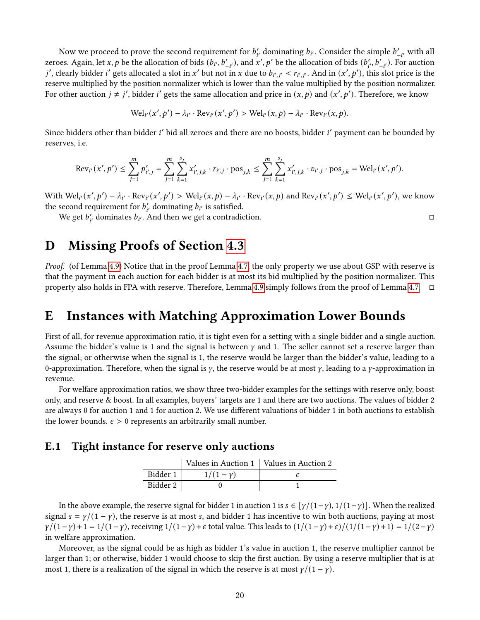Now we proceed to prove the second requirement for  $b'_{i'}$  dominating  $b_{i'}$ . Consider the simple  $b'_{-i'}$  with all zeroes. Again, let x, p be the allocation of bids  $(b_{i'}, b'_{-i'})$ , and  $x', p'$  be the allocation of bids  $(b'_{i'}, b'_{-i'})$ . For auction j', clearly bidder i' gets allocated a slot in x' but not in x due to  $b_{i',j'} < r_{i',j'}$ . And in  $(x', p')$ , this slot price is the reserve multiplied by the position normalizer which is lower than the value multiplied by the position normalizer. For other auction  $j \neq j'$ , bidder i' gets the same allocation and price in  $(x, p)$  and  $(x', p')$ . Therefore, we know

$$
\text{Wel}_{i'}(x',p') - \lambda_{i'} \cdot \text{Rev}_{i'}(x',p') > \text{Wel}_{i'}(x,p) - \lambda_{i'} \cdot \text{Rev}_{i'}(x,p).
$$

Since bidders other than bidder i' bid all zeroes and there are no boosts, bidder i' payment can be bounded by reserves, i.e.

$$
\text{Rev}_{i'}(x',p') \leq \sum_{j=1}^m p'_{i',j} = \sum_{j=1}^m \sum_{k=1}^{s_j} x'_{i',j,k} \cdot r_{i',j} \cdot \text{pos}_{j,k} \leq \sum_{j=1}^m \sum_{k=1}^{s_j} x'_{i',j,k} \cdot v_{i',j} \cdot \text{pos}_{j,k} = \text{Wel}_{i'}(x',p').
$$

With  $\text{Wel}_{i'}(x', p') - \lambda_{i'} \cdot \text{Rev}_{i'}(x', p') > \text{Wel}_{i'}(x, p) - \lambda_{i'} \cdot \text{Rev}_{i'}(x, p)$  and  $\text{Rev}_{i'}(x', p') \leq \text{Wel}_{i'}(x', p')$ , we know the second requirement for  $b'_{i'}$  dominating  $b_{i'}$  is satisfied.

We get  $b_i'$ , dominates  $b_i'$ . And then we get a contradiction.

### <span id="page-19-1"></span>D Missing Proofs of Section [4.3](#page-7-6)

Proof. (of Lemma [4.9\)](#page-7-4) Notice that in the proof Lemma [4.7,](#page-7-3) the only property we use about GSP with reserve is that the payment in each auction for each bidder is at most its bid multiplied by the position normalizer. This property also holds in FPA with reserve. Therefore, Lemma [4.9](#page-7-4) simply follows from the proof of Lemma [4.7.](#page-7-3) □

# <span id="page-19-0"></span>E Instances with Matching Approximation Lower Bounds

First of all, for revenue approximation ratio, it is tight even for a setting with a single bidder and a single auction. Assume the bidder's value is 1 and the signal is between  $\gamma$  and 1. The seller cannot set a reserve larger than the signal; or otherwise when the signal is 1, the reserve would be larger than the bidder's value, leading to a 0-approximation. Therefore, when the signal is  $\gamma$ , the reserve would be at most  $\gamma$ , leading to a  $\gamma$ -approximation in revenue.

For welfare approximation ratios, we show three two-bidder examples for the settings with reserve only, boost only, and reserve & boost. In all examples, buyers' targets are 1 and there are two auctions. The values of bidder 2 are always 0 for auction 1 and 1 for auction 2. We use different valuations of bidder 1 in both auctions to establish the lower bounds.  $\epsilon > 0$  represents an arbitrarily small number.

### E.1 Tight instance for reserve only auctions

|          | Values in Auction 1   Values in Auction 2 |  |
|----------|-------------------------------------------|--|
| Bidder 1 | $1/(1 - y)$                               |  |
| Bidder 2 |                                           |  |

In the above example, the reserve signal for bidder 1 in auction 1 is  $s \in \lceil \gamma/(1-\gamma), 1/(1-\gamma) \rceil$ . When the realized signal  $s = \gamma/(1 - \gamma)$ , the reserve is at most s, and bidder 1 has incentive to win both auctions, paying at most  $\gamma/(1-\gamma) + 1 = 1/(1-\gamma)$ , receiving  $1/(1-\gamma) + \epsilon$  total value. This leads to  $\frac{1}{1-(1-\gamma)+\epsilon}/\frac{1}{1-(1-\gamma)+1} = \frac{1}{2-\gamma}$ in welfare approximation.

Moreover, as the signal could be as high as bidder 1's value in auction 1, the reserve multiplier cannot be larger than 1; or otherwise, bidder 1 would choose to skip the first auction. By using a reserve multiplier that is at most 1, there is a realization of the signal in which the reserve is at most  $\gamma/(1 - \gamma)$ .